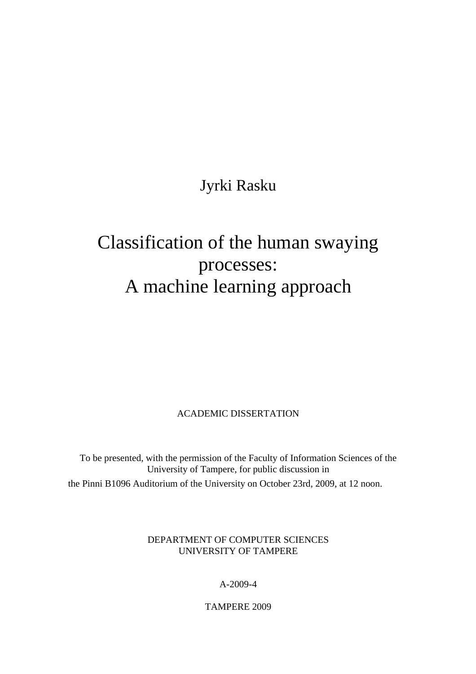# Jyrki Rasku

# Classification of the human swaying processes: A machine learning approach

ACADEMIC DISSERTATION

To be presented, with the permission of the Faculty of Information Sciences of the University of Tampere, for public discussion in the Pinni B1096 Auditorium of the University on October 23rd, 2009, at 12 noon.

> DEPARTMENT OF COMPUTER SCIENCES UNIVERSITY OF TAMPERE

> > A-2009-4

TAMPERE 2009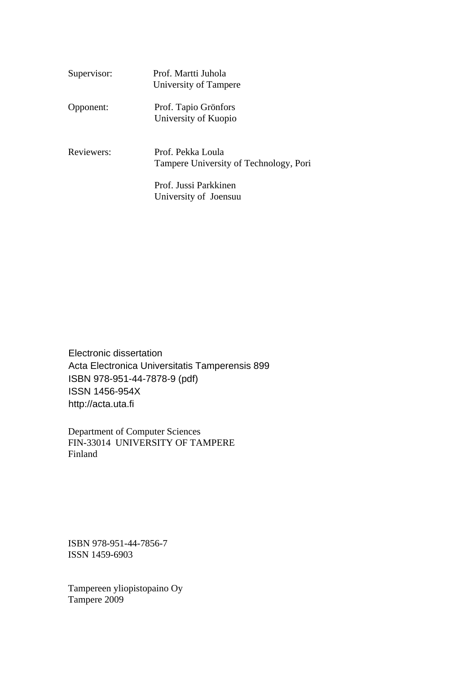| Supervisor: | Prof. Martti Juhola<br>University of Tampere                |
|-------------|-------------------------------------------------------------|
| Opponent:   | Prof. Tapio Grönfors<br>University of Kuopio                |
| Reviewers:  | Prof. Pekka Loula<br>Tampere University of Technology, Pori |
|             | Prof. Jussi Parkkinen<br>University of Joensuu              |

Electronic dissertation Acta Electronica Universitatis Tamperensis 899 ISBN 978-951-44-7878-9 (pdf) ISSN 1456-954X http://acta.uta.fi

Department of Computer Sciences FIN-33014 UNIVERSITY OF TAMPERE Finland

ISBN 978-951-44-7856-7 ISSN 1459-6903

Tampereen yliopistopaino Oy Tampere 2009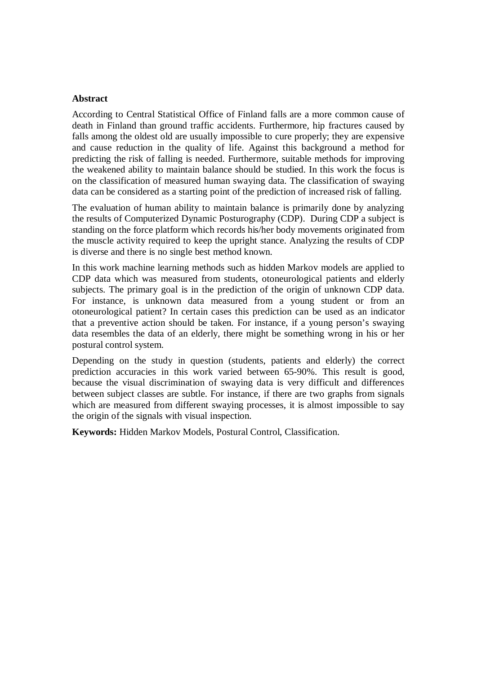#### **Abstract**

According to Central Statistical Office of Finland falls are a more common cause of death in Finland than ground traffic accidents. Furthermore, hip fractures caused by falls among the oldest old are usually impossible to cure properly; they are expensive and cause reduction in the quality of life. Against this background a method for predicting the risk of falling is needed. Furthermore, suitable methods for improving the weakened ability to maintain balance should be studied. In this work the focus is on the classification of measured human swaying data. The classification of swaying data can be considered as a starting point of the prediction of increased risk of falling.

The evaluation of human ability to maintain balance is primarily done by analyzing the results of Computerized Dynamic Posturography (CDP). During CDP a subject is standing on the force platform which records his/her body movements originated from the muscle activity required to keep the upright stance. Analyzing the results of CDP is diverse and there is no single best method known.

In this work machine learning methods such as hidden Markov models are applied to CDP data which was measured from students, otoneurological patients and elderly subjects. The primary goal is in the prediction of the origin of unknown CDP data. For instance, is unknown data measured from a young student or from an otoneurological patient? In certain cases this prediction can be used as an indicator that a preventive action should be taken. For instance, if a young person's swaying data resembles the data of an elderly, there might be something wrong in his or her postural control system.

Depending on the study in question (students, patients and elderly) the correct prediction accuracies in this work varied between 65-90%. This result is good, because the visual discrimination of swaying data is very difficult and differences between subject classes are subtle. For instance, if there are two graphs from signals which are measured from different swaying processes, it is almost impossible to say the origin of the signals with visual inspection.

**Keywords:** Hidden Markov Models, Postural Control, Classification.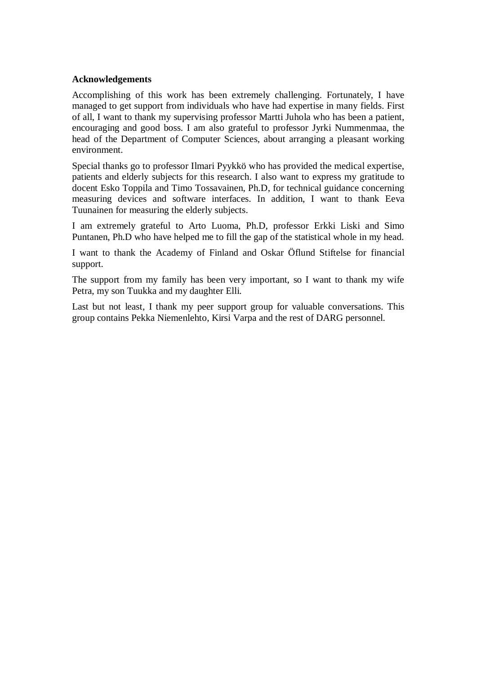#### **Acknowledgements**

Accomplishing of this work has been extremely challenging. Fortunately, I have managed to get support from individuals who have had expertise in many fields. First of all, I want to thank my supervising professor Martti Juhola who has been a patient, encouraging and good boss. I am also grateful to professor Jyrki Nummenmaa, the head of the Department of Computer Sciences, about arranging a pleasant working environment.

Special thanks go to professor Ilmari Pyykkö who has provided the medical expertise, patients and elderly subjects for this research. I also want to express my gratitude to docent Esko Toppila and Timo Tossavainen, Ph.D, for technical guidance concerning measuring devices and software interfaces. In addition, I want to thank Eeva Tuunainen for measuring the elderly subjects.

I am extremely grateful to Arto Luoma, Ph.D, professor Erkki Liski and Simo Puntanen, Ph.D who have helped me to fill the gap of the statistical whole in my head.

I want to thank the Academy of Finland and Oskar Öflund Stiftelse for financial support.

The support from my family has been very important, so I want to thank my wife Petra, my son Tuukka and my daughter Elli.

Last but not least, I thank my peer support group for valuable conversations. This group contains Pekka Niemenlehto, Kirsi Varpa and the rest of DARG personnel.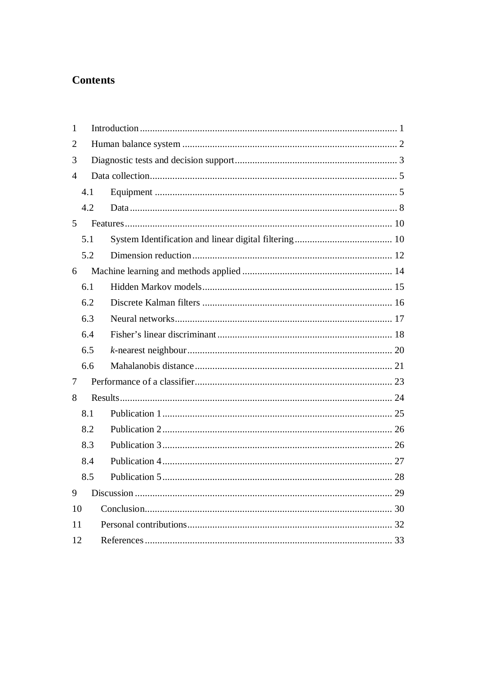### **Contents**

| $\mathbf{1}$   |     |    |  |
|----------------|-----|----|--|
| $\overline{2}$ |     |    |  |
| 3              |     |    |  |
| $\overline{A}$ |     |    |  |
|                | 4.1 |    |  |
|                | 4.2 |    |  |
| 5              |     |    |  |
|                | 5.1 |    |  |
|                | 5.2 |    |  |
| 6              |     |    |  |
|                | 6.1 |    |  |
|                | 6.2 |    |  |
|                | 6.3 |    |  |
|                | 6.4 |    |  |
|                | 6.5 |    |  |
|                | 6.6 |    |  |
| 7              |     |    |  |
| 8              |     |    |  |
|                | 8.1 |    |  |
|                | 8.2 |    |  |
|                | 8.3 |    |  |
|                | 8.4 |    |  |
|                | 8.5 |    |  |
| 9              |     | 29 |  |
| 10             |     |    |  |
|                | 11  |    |  |
| 12             |     |    |  |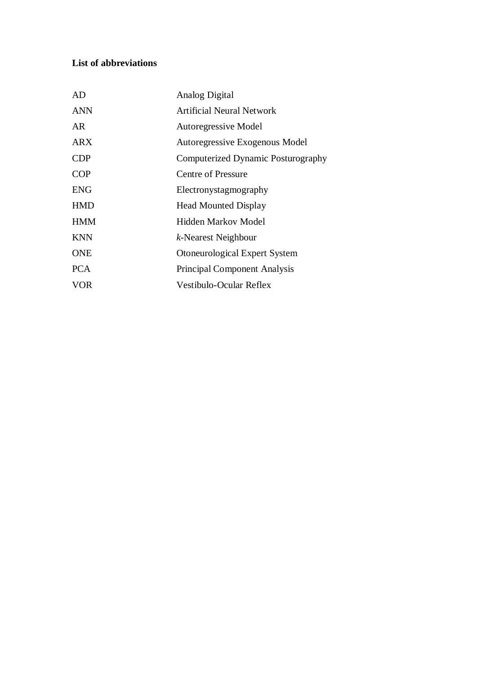### **List of abbreviations**

| AD         | Analog Digital                      |
|------------|-------------------------------------|
| <b>ANN</b> | Artificial Neural Network           |
| AR.        | <b>Autoregressive Model</b>         |
| <b>ARX</b> | Autoregressive Exogenous Model      |
| <b>CDP</b> | Computerized Dynamic Posturography  |
| <b>COP</b> | Centre of Pressure                  |
| <b>ENG</b> | Electronystagmography               |
| <b>HMD</b> | <b>Head Mounted Display</b>         |
| <b>HMM</b> | <b>Hidden Markov Model</b>          |
| <b>KNN</b> | k-Nearest Neighbour                 |
| <b>ONE</b> | Otoneurological Expert System       |
| <b>PCA</b> | <b>Principal Component Analysis</b> |
| VOR        | Vestibulo-Ocular Reflex             |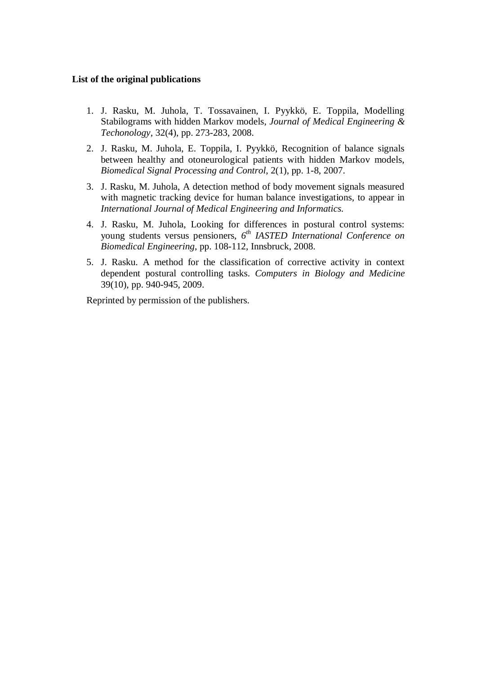#### **List of the original publications**

- 1. J. Rasku, M. Juhola, T. Tossavainen, I. Pyykkö, E. Toppila, Modelling Stabilograms with hidden Markov models, *Journal of Medical Engineering & Techonology*, 32(4), pp. 273-283, 2008.
- 2. J. Rasku, M. Juhola, E. Toppila, I. Pyykkö, Recognition of balance signals between healthy and otoneurological patients with hidden Markov models, *Biomedical Signal Processing and Control*, 2(1), pp. 1-8, 2007.
- 3. J. Rasku, M. Juhola, A detection method of body movement signals measured with magnetic tracking device for human balance investigations, to appear in *International Journal of Medical Engineering and Informatics*.
- 4. J. Rasku, M. Juhola, Looking for differences in postural control systems: young students versus pensioners, *6 th IASTED International Conference on Biomedical Engineering*, pp. 108-112, Innsbruck, 2008.
- 5. J. Rasku. A method for the classification of corrective activity in context dependent postural controlling tasks. *Computers in Biology and Medicine* 39(10), pp. 940-945, 2009.

Reprinted by permission of the publishers.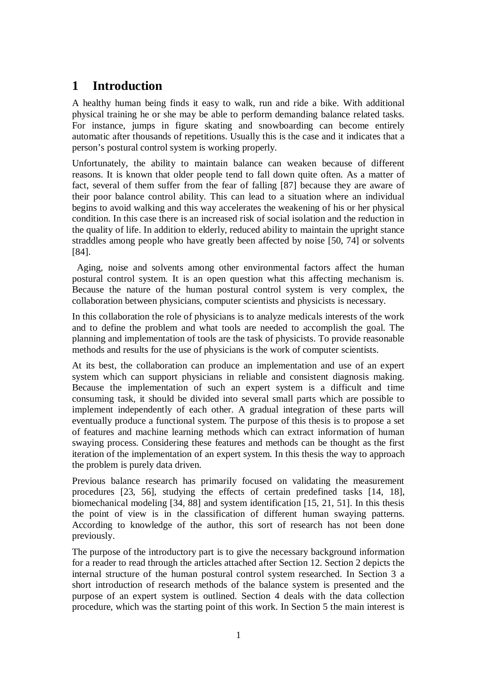# <span id="page-7-0"></span>**1 Introduction**

A healthy human being finds it easy to walk, run and ride a bike. With additional physical training he or she may be able to perform demanding balance related tasks. For instance, jumps in figure skating and snowboarding can become entirely automatic after thousands of repetitions. Usually this is the case and it indicates that a person's postural control system is working properly.

Unfortunately, the ability to maintain balance can weaken because of different reasons. It is known that older people tend to fall down quite often. As a matter of fact, several of them suffer from the fear of falling [87] because they are aware of their poor balance control ability. This can lead to a situation where an individual begins to avoid walking and this way accelerates the weakening of his or her physical condition. In this case there is an increased risk of social isolation and the reduction in the quality of life. In addition to elderly, reduced ability to maintain the upright stance straddles among people who have greatly been affected by noise [50, 74] or solvents [84].

 Aging, noise and solvents among other environmental factors affect the human postural control system. It is an open question what this affecting mechanism is. Because the nature of the human postural control system is very complex, the collaboration between physicians, computer scientists and physicists is necessary.

In this collaboration the role of physicians is to analyze medicals interests of the work and to define the problem and what tools are needed to accomplish the goal. The planning and implementation of tools are the task of physicists. To provide reasonable methods and results for the use of physicians is the work of computer scientists.

At its best, the collaboration can produce an implementation and use of an expert system which can support physicians in reliable and consistent diagnosis making. Because the implementation of such an expert system is a difficult and time consuming task, it should be divided into several small parts which are possible to implement independently of each other. A gradual integration of these parts will eventually produce a functional system. The purpose of this thesis is to propose a set of features and machine learning methods which can extract information of human swaying process. Considering these features and methods can be thought as the first iteration of the implementation of an expert system. In this thesis the way to approach the problem is purely data driven.

Previous balance research has primarily focused on validating the measurement procedures [23, 56], studying the effects of certain predefined tasks [14, 18], biomechanical modeling [34, 88] and system identification [15, 21, 51]. In this thesis the point of view is in the classification of different human swaying patterns. According to knowledge of the author, this sort of research has not been done previously.

The purpose of the introductory part is to give the necessary background information for a reader to read through the articles attached after Section 12. Section 2 depicts the internal structure of the human postural control system researched. In Section 3 a short introduction of research methods of the balance system is presented and the purpose of an expert system is outlined. Section 4 deals with the data collection procedure, which was the starting point of this work. In Section 5 the main interest is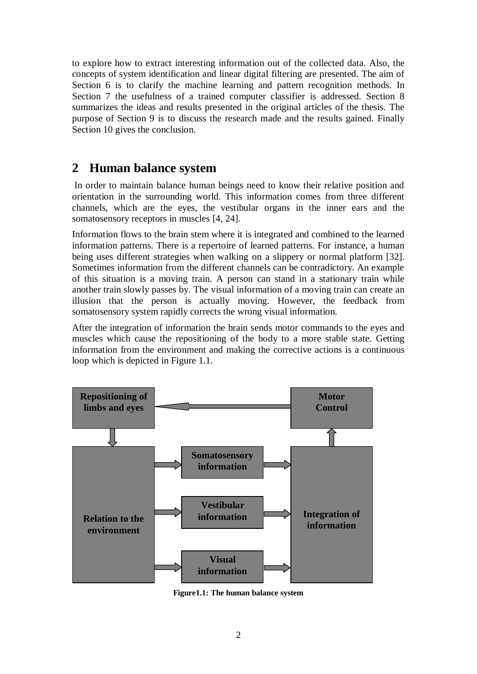<span id="page-8-0"></span>to explore how to extract interesting information out of the collected data. Also, the concepts of system identification and linear digital filtering are presented. The aim of Section 6 is to clarify the machine learning and pattern recognition methods. In Section 7 the usefulness of a trained computer classifier is addressed. Section 8 summarizes the ideas and results presented in the original articles of the thesis. The purpose of Section 9 is to discuss the research made and the results gained. Finally Section 10 gives the conclusion.

# **2 Human balance system**

 In order to maintain balance human beings need to know their relative position and orientation in the surrounding world. This information comes from three different channels, which are the eyes, the vestibular organs in the inner ears and the somatosensory receptors in muscles [4, 24].

Information flows to the brain stem where it is integrated and combined to the learned information patterns. There is a repertoire of learned patterns. For instance, a human being uses different strategies when walking on a slippery or normal platform [32]. Sometimes information from the different channels can be contradictory. An example of this situation is a moving train. A person can stand in a stationary train while another train slowly passes by. The visual information of a moving train can create an illusion that the person is actually moving. However, the feedback from somatosensory system rapidly corrects the wrong visual information.

After the integration of information the brain sends motor commands to the eyes and muscles which cause the repositioning of the body to a more stable state. Getting information from the environment and making the corrective actions is a continuous loop which is depicted in Figure 1.1.



**Figure1.1: The human balance system**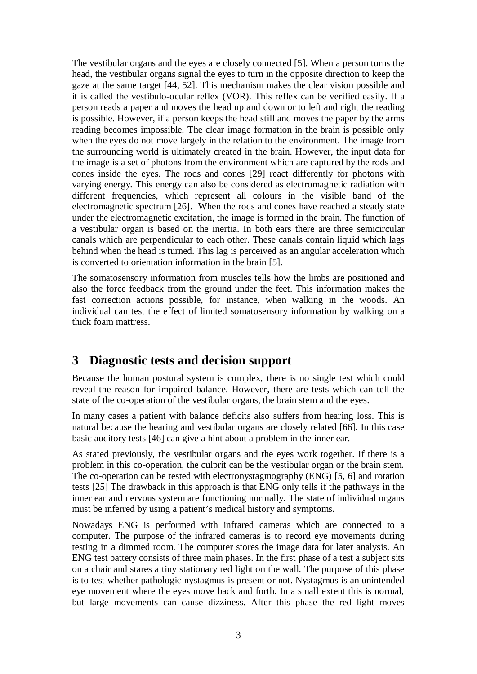<span id="page-9-0"></span>The vestibular organs and the eyes are closely connected [5]. When a person turns the head, the vestibular organs signal the eyes to turn in the opposite direction to keep the gaze at the same target [44, 52]. This mechanism makes the clear vision possible and it is called the vestibulo-ocular reflex (VOR). This reflex can be verified easily. If a person reads a paper and moves the head up and down or to left and right the reading is possible. However, if a person keeps the head still and moves the paper by the arms reading becomes impossible. The clear image formation in the brain is possible only when the eyes do not move largely in the relation to the environment. The image from the surrounding world is ultimately created in the brain. However, the input data for the image is a set of photons from the environment which are captured by the rods and cones inside the eyes. The rods and cones [29] react differently for photons with varying energy. This energy can also be considered as electromagnetic radiation with different frequencies, which represent all colours in the visible band of the electromagnetic spectrum [26]. When the rods and cones have reached a steady state under the electromagnetic excitation, the image is formed in the brain. The function of a vestibular organ is based on the inertia. In both ears there are three semicircular canals which are perpendicular to each other. These canals contain liquid which lags behind when the head is turned. This lag is perceived as an angular acceleration which is converted to orientation information in the brain [5].

The somatosensory information from muscles tells how the limbs are positioned and also the force feedback from the ground under the feet. This information makes the fast correction actions possible, for instance, when walking in the woods. An individual can test the effect of limited somatosensory information by walking on a thick foam mattress.

# **3 Diagnostic tests and decision support**

Because the human postural system is complex, there is no single test which could reveal the reason for impaired balance. However, there are tests which can tell the state of the co-operation of the vestibular organs, the brain stem and the eyes.

In many cases a patient with balance deficits also suffers from hearing loss. This is natural because the hearing and vestibular organs are closely related [66]. In this case basic auditory tests [46] can give a hint about a problem in the inner ear.

As stated previously, the vestibular organs and the eyes work together. If there is a problem in this co-operation, the culprit can be the vestibular organ or the brain stem. The co-operation can be tested with electronystagmography (ENG) [5, 6] and rotation tests [25] The drawback in this approach is that ENG only tells if the pathways in the inner ear and nervous system are functioning normally. The state of individual organs must be inferred by using a patient's medical history and symptoms.

Nowadays ENG is performed with infrared cameras which are connected to a computer. The purpose of the infrared cameras is to record eye movements during testing in a dimmed room. The computer stores the image data for later analysis. An ENG test battery consists of three main phases. In the first phase of a test a subject sits on a chair and stares a tiny stationary red light on the wall. The purpose of this phase is to test whether pathologic nystagmus is present or not. Nystagmus is an unintended eye movement where the eyes move back and forth. In a small extent this is normal, but large movements can cause dizziness. After this phase the red light moves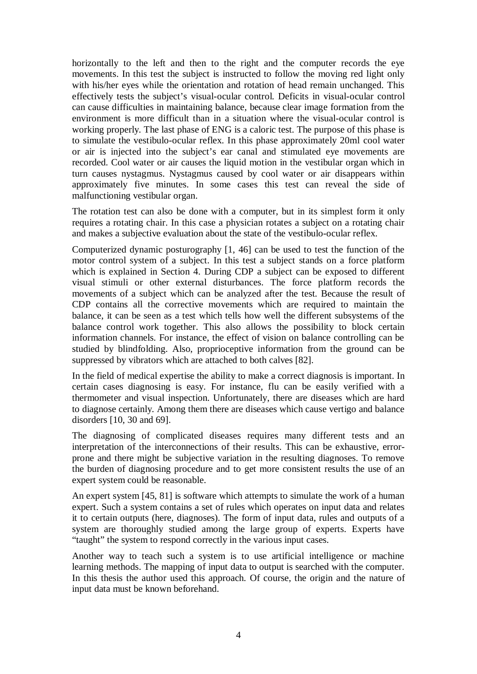horizontally to the left and then to the right and the computer records the eye movements. In this test the subject is instructed to follow the moving red light only with his/her eyes while the orientation and rotation of head remain unchanged. This effectively tests the subject's visual-ocular control. Deficits in visual-ocular control can cause difficulties in maintaining balance, because clear image formation from the environment is more difficult than in a situation where the visual-ocular control is working properly. The last phase of ENG is a caloric test. The purpose of this phase is to simulate the vestibulo-ocular reflex. In this phase approximately 20ml cool water or air is injected into the subject's ear canal and stimulated eye movements are recorded. Cool water or air causes the liquid motion in the vestibular organ which in turn causes nystagmus. Nystagmus caused by cool water or air disappears within approximately five minutes. In some cases this test can reveal the side of malfunctioning vestibular organ.

The rotation test can also be done with a computer, but in its simplest form it only requires a rotating chair. In this case a physician rotates a subject on a rotating chair and makes a subjective evaluation about the state of the vestibulo-ocular reflex.

Computerized dynamic posturography [1, 46] can be used to test the function of the motor control system of a subject. In this test a subject stands on a force platform which is explained in Section 4. During CDP a subject can be exposed to different visual stimuli or other external disturbances. The force platform records the movements of a subject which can be analyzed after the test. Because the result of CDP contains all the corrective movements which are required to maintain the balance, it can be seen as a test which tells how well the different subsystems of the balance control work together. This also allows the possibility to block certain information channels. For instance, the effect of vision on balance controlling can be studied by blindfolding. Also, proprioceptive information from the ground can be suppressed by vibrators which are attached to both calves [82].

In the field of medical expertise the ability to make a correct diagnosis is important. In certain cases diagnosing is easy. For instance, flu can be easily verified with a thermometer and visual inspection. Unfortunately, there are diseases which are hard to diagnose certainly. Among them there are diseases which cause vertigo and balance disorders [10, 30 and 69].

The diagnosing of complicated diseases requires many different tests and an interpretation of the interconnections of their results. This can be exhaustive, errorprone and there might be subjective variation in the resulting diagnoses. To remove the burden of diagnosing procedure and to get more consistent results the use of an expert system could be reasonable.

An expert system [45, 81] is software which attempts to simulate the work of a human expert. Such a system contains a set of rules which operates on input data and relates it to certain outputs (here, diagnoses). The form of input data, rules and outputs of a system are thoroughly studied among the large group of experts. Experts have "taught" the system to respond correctly in the various input cases.

Another way to teach such a system is to use artificial intelligence or machine learning methods. The mapping of input data to output is searched with the computer. In this thesis the author used this approach. Of course, the origin and the nature of input data must be known beforehand.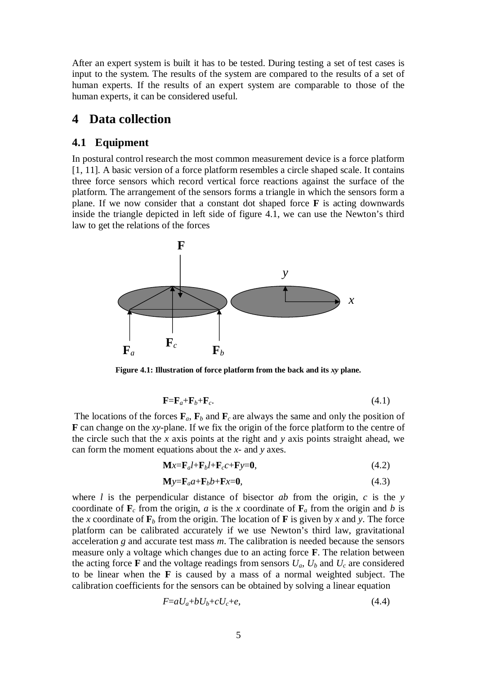<span id="page-11-0"></span>After an expert system is built it has to be tested. During testing a set of test cases is input to the system. The results of the system are compared to the results of a set of human experts. If the results of an expert system are comparable to those of the human experts, it can be considered useful.

#### **4 Data collection**

#### **4.1 Equipment**

In postural control research the most common measurement device is a force platform [1, 11]. A basic version of a force platform resembles a circle shaped scale. It contains three force sensors which record vertical force reactions against the surface of the platform. The arrangement of the sensors forms a triangle in which the sensors form a plane. If we now consider that a constant dot shaped force **F** is acting downwards inside the triangle depicted in left side of figure 4.1, we can use the Newton's third law to get the relations of the forces



**Figure 4.1: Illustration of force platform from the back and its** *xy* **plane.**

$$
\mathbf{F} = \mathbf{F}_a + \mathbf{F}_b + \mathbf{F}_c. \tag{4.1}
$$

The locations of the forces  $\mathbf{F}_a$ ,  $\mathbf{F}_b$  and  $\mathbf{F}_c$  are always the same and only the position of **F** can change on the *xy-*plane. If we fix the origin of the force platform to the centre of the circle such that the *x* axis points at the right and *y* axis points straight ahead, we can form the moment equations about the *x*- and *y* axes.

$$
\mathbf{M}x = \mathbf{F}_d t + \mathbf{F}_b t + \mathbf{F}_c t + \mathbf{F}y = \mathbf{0},\tag{4.2}
$$

$$
\mathbf{M} \mathbf{y} = \mathbf{F}_a a + \mathbf{F}_b b + \mathbf{F} x = \mathbf{0},\tag{4.3}
$$

where *l* is the perpendicular distance of bisector *ab* from the origin, *c* is the *y* coordinate of  $\mathbf{F}_c$  from the origin, *a* is the *x* coordinate of  $\mathbf{F}_a$  from the origin and *b* is the *x* coordinate of  $\mathbf{F}_b$  from the origin. The location of **F** is given by *x* and *y*. The force platform can be calibrated accurately if we use Newton's third law, gravitational acceleration *g* and accurate test mass *m*. The calibration is needed because the sensors measure only a voltage which changes due to an acting force **F**. The relation between the acting force **F** and the voltage readings from sensors  $U_a$ ,  $U_b$  and  $U_c$  are considered to be linear when the **F** is caused by a mass of a normal weighted subject. The calibration coefficients for the sensors can be obtained by solving a linear equation

$$
F = aU_a + bU_b + cU_c + e,\tag{4.4}
$$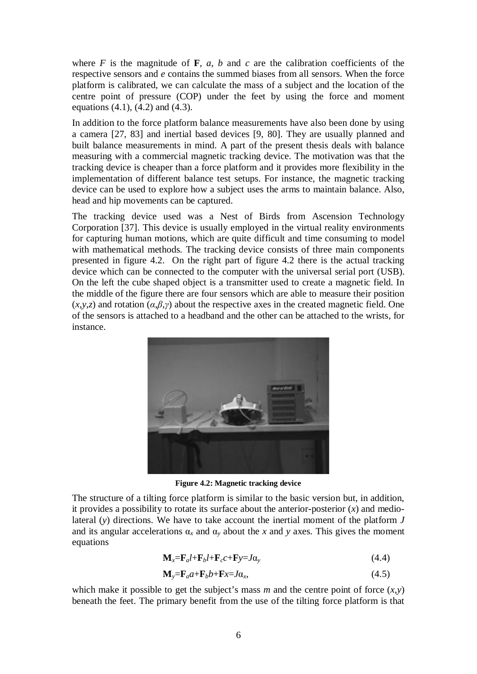where  $F$  is the magnitude of  $\mathbf{F}$ ,  $a$ ,  $b$  and  $c$  are the calibration coefficients of the respective sensors and *e* contains the summed biases from all sensors. When the force platform is calibrated, we can calculate the mass of a subject and the location of the centre point of pressure (COP) under the feet by using the force and moment equations  $(4.1)$ ,  $(4.2)$  and  $(4.3)$ .

In addition to the force platform balance measurements have also been done by using a camera [27, 83] and inertial based devices [9, 80]. They are usually planned and built balance measurements in mind. A part of the present thesis deals with balance measuring with a commercial magnetic tracking device. The motivation was that the tracking device is cheaper than a force platform and it provides more flexibility in the implementation of different balance test setups. For instance, the magnetic tracking device can be used to explore how a subject uses the arms to maintain balance. Also, head and hip movements can be captured.

The tracking device used was a Nest of Birds from Ascension Technology Corporation [37]. This device is usually employed in the virtual reality environments for capturing human motions, which are quite difficult and time consuming to model with mathematical methods. The tracking device consists of three main components presented in figure 4.2. On the right part of figure 4.2 there is the actual tracking device which can be connected to the computer with the universal serial port (USB). On the left the cube shaped object is a transmitter used to create a magnetic field. In the middle of the figure there are four sensors which are able to measure their position  $(x, y, z)$  and rotation  $(a, \beta, \gamma)$  about the respective axes in the created magnetic field. One of the sensors is attached to a headband and the other can be attached to the wrists, for instance.



**Figure 4.2: Magnetic tracking device**

The structure of a tilting force platform is similar to the basic version but, in addition, it provides a possibility to rotate its surface about the anterior-posterior (*x*) and mediolateral (*y*) directions. We have to take account the inertial moment of the platform *J* and its angular accelerations  $\alpha_x$  and  $\alpha_y$  about the *x* and *y* axes. This gives the moment equations

$$
\mathbf{M}_x = \mathbf{F}_d l + \mathbf{F}_b l + \mathbf{F}_c c + \mathbf{F} y = J \alpha_y \tag{4.4}
$$

$$
\mathbf{M}_y = \mathbf{F}_a a + \mathbf{F}_b b + \mathbf{F} x = J a_x, \tag{4.5}
$$

which make it possible to get the subject's mass  $m$  and the centre point of force  $(x,y)$ beneath the feet. The primary benefit from the use of the tilting force platform is that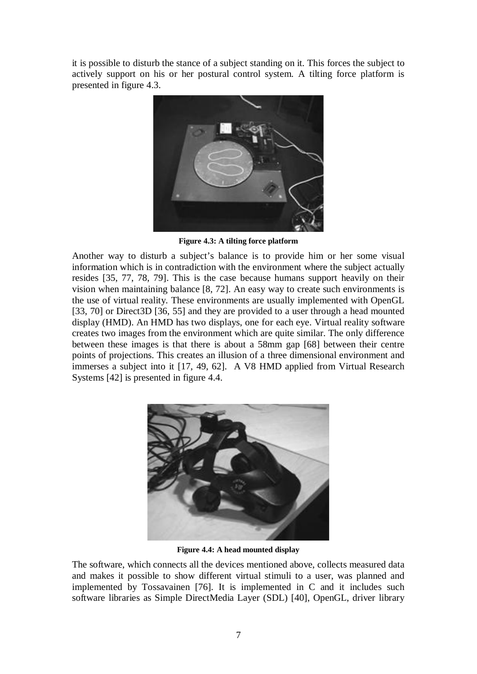it is possible to disturb the stance of a subject standing on it. This forces the subject to actively support on his or her postural control system. A tilting force platform is presented in figure 4.3.



**Figure 4.3: A tilting force platform**

Another way to disturb a subject's balance is to provide him or her some visual information which is in contradiction with the environment where the subject actually resides [35, 77, 78, 79]. This is the case because humans support heavily on their vision when maintaining balance [8, 72]. An easy way to create such environments is the use of virtual reality. These environments are usually implemented with OpenGL [33, 70] or Direct3D [36, 55] and they are provided to a user through a head mounted display (HMD). An HMD has two displays, one for each eye. Virtual reality software creates two images from the environment which are quite similar. The only difference between these images is that there is about a 58mm gap [68] between their centre points of projections. This creates an illusion of a three dimensional environment and immerses a subject into it [17, 49, 62]. A V8 HMD applied from Virtual Research Systems [42] is presented in figure 4.4.



**Figure 4.4: A head mounted display**

The software, which connects all the devices mentioned above, collects measured data and makes it possible to show different virtual stimuli to a user, was planned and implemented by Tossavainen [76]. It is implemented in C and it includes such software libraries as Simple DirectMedia Layer (SDL) [40], OpenGL, driver library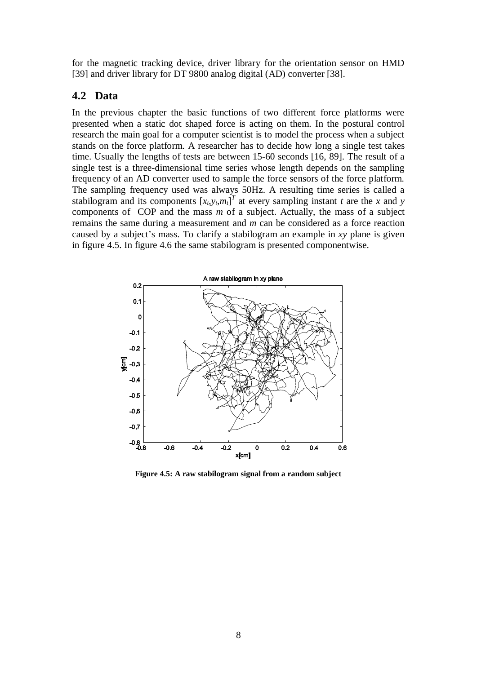<span id="page-14-0"></span>for the magnetic tracking device, driver library for the orientation sensor on HMD [39] and driver library for DT 9800 analog digital (AD) converter [38].

#### **4.2 Data**

In the previous chapter the basic functions of two different force platforms were presented when a static dot shaped force is acting on them. In the postural control research the main goal for a computer scientist is to model the process when a subject stands on the force platform. A researcher has to decide how long a single test takes time. Usually the lengths of tests are between 15-60 seconds [16, 89]. The result of a single test is a three-dimensional time series whose length depends on the sampling frequency of an AD converter used to sample the force sensors of the force platform. The sampling frequency used was always 50Hz. A resulting time series is called a stabilogram and its components  $[x_t, y_t, m_t]^T$  at every sampling instant *t* are the *x* and *y* components of COP and the mass *m* of a subject. Actually, the mass of a subject remains the same during a measurement and *m* can be considered as a force reaction caused by a subject's mass. To clarify a stabilogram an example in *xy* plane is given in figure 4.5. In figure 4.6 the same stabilogram is presented componentwise.



**Figure 4.5: A raw stabilogram signal from a random subject**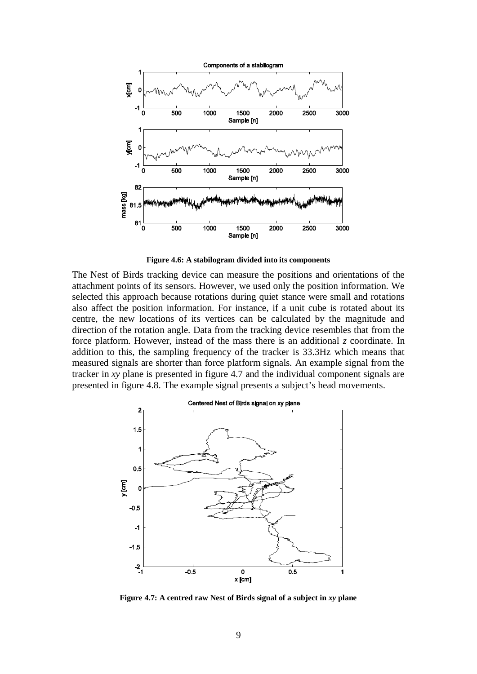

**Figure 4.6: A stabilogram divided into its components**

The Nest of Birds tracking device can measure the positions and orientations of the attachment points of its sensors. However, we used only the position information. We selected this approach because rotations during quiet stance were small and rotations also affect the position information. For instance, if a unit cube is rotated about its centre, the new locations of its vertices can be calculated by the magnitude and direction of the rotation angle. Data from the tracking device resembles that from the force platform. However, instead of the mass there is an additional *z* coordinate. In addition to this, the sampling frequency of the tracker is 33.3Hz which means that measured signals are shorter than force platform signals. An example signal from the tracker in *xy* plane is presented in figure 4.7 and the individual component signals are presented in figure 4.8. The example signal presents a subject's head movements.



**Figure 4.7: A centred raw Nest of Birds signal of a subject in** *xy* **plane**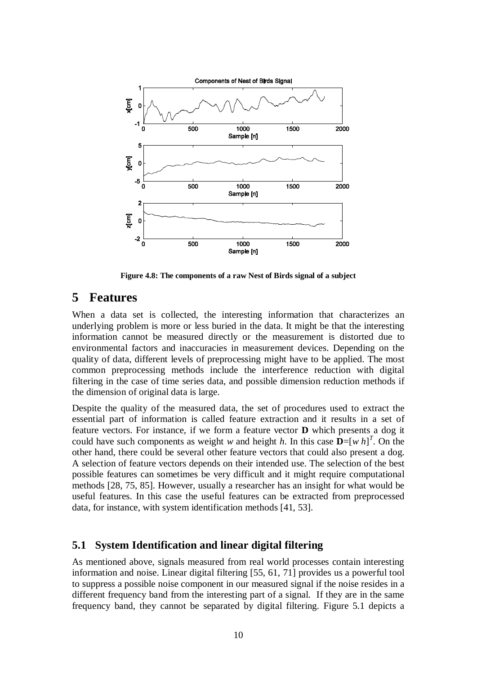<span id="page-16-0"></span>

**Figure 4.8: The components of a raw Nest of Birds signal of a subject**

### **5 Features**

When a data set is collected, the interesting information that characterizes an underlying problem is more or less buried in the data. It might be that the interesting information cannot be measured directly or the measurement is distorted due to environmental factors and inaccuracies in measurement devices. Depending on the quality of data, different levels of preprocessing might have to be applied. The most common preprocessing methods include the interference reduction with digital filtering in the case of time series data, and possible dimension reduction methods if the dimension of original data is large.

Despite the quality of the measured data, the set of procedures used to extract the essential part of information is called feature extraction and it results in a set of feature vectors. For instance, if we form a feature vector **D** which presents a dog it could have such components as weight *w* and height *h*. In this case  $\mathbf{D} = [w \; h]^T$ . On the other hand, there could be several other feature vectors that could also present a dog. A selection of feature vectors depends on their intended use. The selection of the best possible features can sometimes be very difficult and it might require computational methods [28, 75, 85]. However, usually a researcher has an insight for what would be useful features. In this case the useful features can be extracted from preprocessed data, for instance, with system identification methods [41, 53].

#### **5.1 System Identification and linear digital filtering**

As mentioned above, signals measured from real world processes contain interesting information and noise. Linear digital filtering [55, 61, 71] provides us a powerful tool to suppress a possible noise component in our measured signal if the noise resides in a different frequency band from the interesting part of a signal. If they are in the same frequency band, they cannot be separated by digital filtering. Figure 5.1 depicts a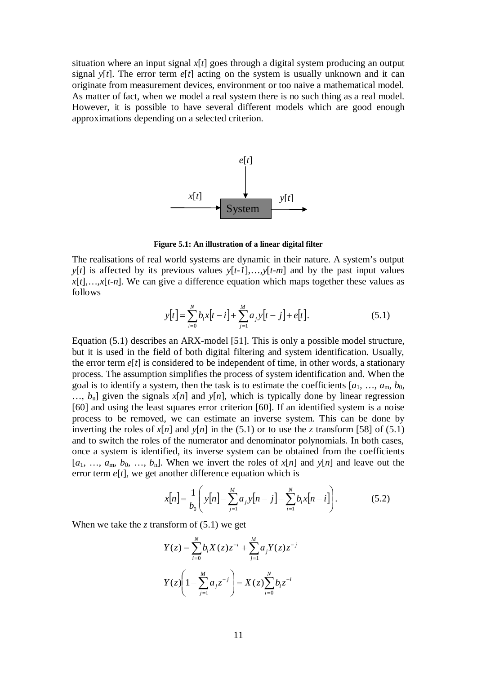situation where an input signal *x*[*t*] goes through a digital system producing an output signal  $y[t]$ . The error term  $e[t]$  acting on the system is usually unknown and it can originate from measurement devices, environment or too naive a mathematical model. As matter of fact, when we model a real system there is no such thing as a real model. However, it is possible to have several different models which are good enough approximations depending on a selected criterion.



**Figure 5.1: An illustration of a linear digital filter**

The realisations of real world systems are dynamic in their nature. A system's output *y*[*t*] is affected by its previous values *y*[*t-1*],…,*y*[*t-m*] and by the past input values  $x[t], \ldots, x[t-n]$ . We can give a difference equation which maps together these values as follows

$$
y[t] = \sum_{i=0}^{N} b_i x[t - i] + \sum_{j=1}^{M} a_j y[t - j] + e[t].
$$
 (5.1)

Equation (5.1) describes an ARX-model [51]. This is only a possible model structure, but it is used in the field of both digital filtering and system identification. Usually, the error term  $e[t]$  is considered to be independent of time, in other words, a stationary process. The assumption simplifies the process of system identification and. When the goal is to identify a system, then the task is to estimate the coefficients  $[a_1, ..., a_m, b_0,$  $..., b_n$ ] given the signals  $x[n]$  and  $y[n]$ , which is typically done by linear regression [60] and using the least squares error criterion [60]. If an identified system is a noise process to be removed, we can estimate an inverse system. This can be done by inverting the roles of  $x[n]$  and  $y[n]$  in the (5.1) or to use the *z* transform [58] of (5.1) and to switch the roles of the numerator and denominator polynomials. In both cases, once a system is identified, its inverse system can be obtained from the coefficients  $[a_1, ..., a_m, b_0, ..., b_n]$ . When we invert the roles of  $x[n]$  and  $y[n]$  and leave out the error term *e*[*t*], we get another difference equation which is

$$
x[n] = \frac{1}{b_0} \left( y[n] - \sum_{j=1}^{M} a_j y[n-j] - \sum_{i=1}^{N} b_i x[n-i] \right).
$$
 (5.2)

When we take the  $\zeta$  transform of  $(5.1)$  we get

$$
Y(z) = \sum_{i=0}^{N} b_i X(z) z^{-i} + \sum_{j=1}^{M} a_j Y(z) z^{-j}
$$

$$
Y(z) \left( 1 - \sum_{j=1}^{M} a_j z^{-j} \right) = X(z) \sum_{i=0}^{N} b_i z^{-i}
$$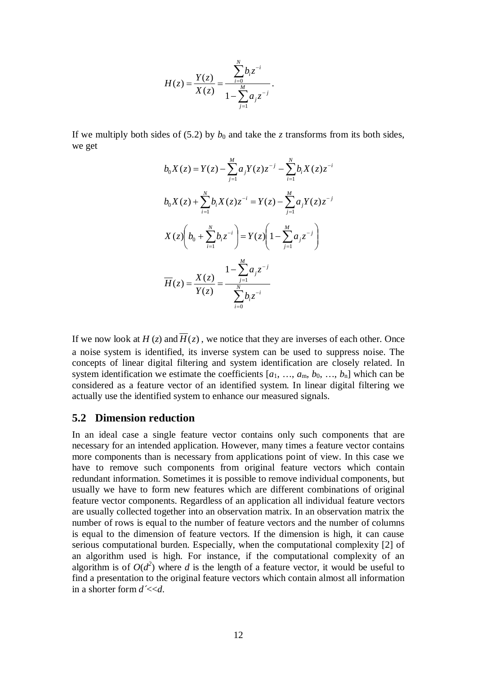$$
H(z) = \frac{Y(z)}{X(z)} = \frac{\sum_{i=0}^{N} b_i z^{-i}}{1 - \sum_{j=1}^{M} a_j z^{-j}}.
$$

<span id="page-18-0"></span>If we multiply both sides of (5.2) by  $b_0$  and take the *z* transforms from its both sides, we get

$$
b_0 X(z) = Y(z) - \sum_{j=1}^{M} a_j Y(z) z^{-j} - \sum_{i=1}^{N} b_i X(z) z^{-i}
$$
  
\n
$$
b_0 X(z) + \sum_{i=1}^{N} b_i X(z) z^{-i} = Y(z) - \sum_{j=1}^{M} a_j Y(z) z^{-j}
$$
  
\n
$$
X(z) \left( b_0 + \sum_{i=1}^{N} b_i z^{-i} \right) = Y(z) \left( 1 - \sum_{j=1}^{M} a_j z^{-j} \right)
$$
  
\n
$$
\overline{H}(z) = \frac{X(z)}{Y(z)} = \frac{1 - \sum_{j=1}^{M} a_j z^{-j}}{\sum_{i=0}^{N} b_i z^{-i}}
$$

If we now look at  $H(z)$  and  $\overline{H}(z)$ , we notice that they are inverses of each other. Once a noise system is identified, its inverse system can be used to suppress noise. The concepts of linear digital filtering and system identification are closely related. In system identification we estimate the coefficients  $[a_1, ..., a_m, b_0, ..., b_n]$  which can be considered as a feature vector of an identified system. In linear digital filtering we actually use the identified system to enhance our measured signals.

#### **5.2 Dimension reduction**

In an ideal case a single feature vector contains only such components that are necessary for an intended application. However, many times a feature vector contains more components than is necessary from applications point of view. In this case we have to remove such components from original feature vectors which contain redundant information. Sometimes it is possible to remove individual components, but usually we have to form new features which are different combinations of original feature vector components. Regardless of an application all individual feature vectors are usually collected together into an observation matrix. In an observation matrix the number of rows is equal to the number of feature vectors and the number of columns is equal to the dimension of feature vectors. If the dimension is high, it can cause serious computational burden. Especially, when the computational complexity [2] of an algorithm used is high. For instance, if the computational complexity of an algorithm is of  $O(d^2)$  where *d* is the length of a feature vector, it would be useful to find a presentation to the original feature vectors which contain almost all information in a shorter form *d´*<<*d*.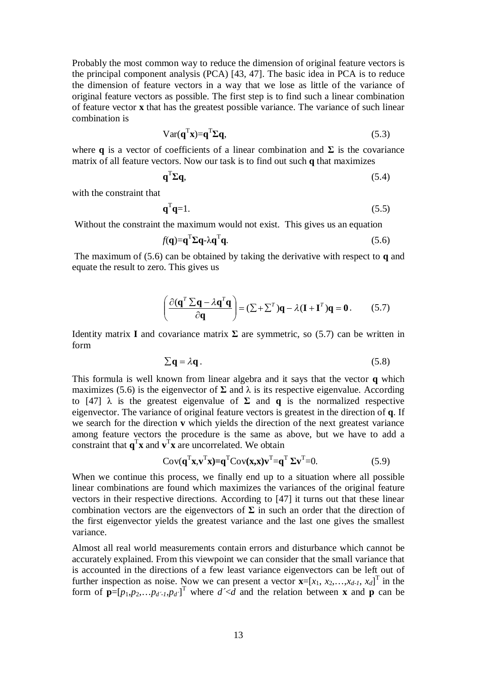Probably the most common way to reduce the dimension of original feature vectors is the principal component analysis (PCA) [43, 47]. The basic idea in PCA is to reduce the dimension of feature vectors in a way that we lose as little of the variance of original feature vectors as possible. The first step is to find such a linear combination of feature vector **x** that has the greatest possible variance. The variance of such linear combination is

$$
Var(\mathbf{q}^{T}\mathbf{x}) = \mathbf{q}^{T}\Sigma\mathbf{q},
$$
\n(5.3)

where **q** is a vector of coefficients of a linear combination and  $\Sigma$  is the covariance matrix of all feature vectors. Now our task is to find out such **q** that maximizes

$$
\mathbf{q}^{\mathrm{T}}\boldsymbol{\Sigma}\mathbf{q},\tag{5.4}
$$

with the constraint that

$$
\mathbf{q}^{\mathrm{T}}\mathbf{q} = 1. \tag{5.5}
$$

Without the constraint the maximum would not exist. This gives us an equation

$$
f(\mathbf{q}) = \mathbf{q}^{\mathrm{T}} \Sigma \mathbf{q} - \lambda \mathbf{q}^{\mathrm{T}} \mathbf{q}.
$$
 (5.6)

 The maximum of (5.6) can be obtained by taking the derivative with respect to **q** and equate the result to zero. This gives us

$$
\left(\frac{\partial(\mathbf{q}^T \Sigma \mathbf{q} - \lambda \mathbf{q}^T \mathbf{q})}{\partial \mathbf{q}}\right) = (\Sigma + \Sigma^T) \mathbf{q} - \lambda (\mathbf{I} + \mathbf{I}^T) \mathbf{q} = \mathbf{0}.
$$
 (5.7)

Identity matrix **I** and covariance matrix  $\Sigma$  are symmetric, so (5.7) can be written in form

$$
\sum \mathbf{q} = \lambda \mathbf{q} \,. \tag{5.8}
$$

This formula is well known from linear algebra and it says that the vector **q** which maximizes (5.6) is the eigenvector of  $\Sigma$  and  $\lambda$  is its respective eigenvalue. According to [47]  $\lambda$  is the greatest eigenvalue of  $\Sigma$  and **q** is the normalized respective eigenvector. The variance of original feature vectors is greatest in the direction of **q**. If we search for the direction **v** which yields the direction of the next greatest variance among feature vectors the procedure is the same as above, but we have to add a constraint that  $\mathbf{q}^T \mathbf{x}$  and  $\mathbf{v}^T \mathbf{x}$  are uncorrelated. We obtain

$$
Cov(\mathbf{q}^{\mathrm{T}}\mathbf{x}, \mathbf{v}^{\mathrm{T}}\mathbf{x}) = \mathbf{q}^{\mathrm{T}}Cov(\mathbf{x}, \mathbf{x})\mathbf{v}^{\mathrm{T}} = \mathbf{q}^{\mathrm{T}}\Sigma\mathbf{v}^{\mathrm{T}} = 0.
$$
 (5.9)

When we continue this process, we finally end up to a situation where all possible linear combinations are found which maximizes the variances of the original feature vectors in their respective directions. According to [47] it turns out that these linear combination vectors are the eigenvectors of  $\Sigma$  in such an order that the direction of the first eigenvector yields the greatest variance and the last one gives the smallest variance.

Almost all real world measurements contain errors and disturbance which cannot be accurately explained. From this viewpoint we can consider that the small variance that is accounted in the directions of a few least variance eigenvectors can be left out of further inspection as noise. Now we can present a vector  $\mathbf{x}=[x_1, x_2,...,x_{d-1}, x_d]^T$  in the form of  $\mathbf{p}=[p_1,p_2,\ldots p_{d-1},p_d]$ <sup>T</sup> where  $d \leq d$  and the relation between **x** and **p** can be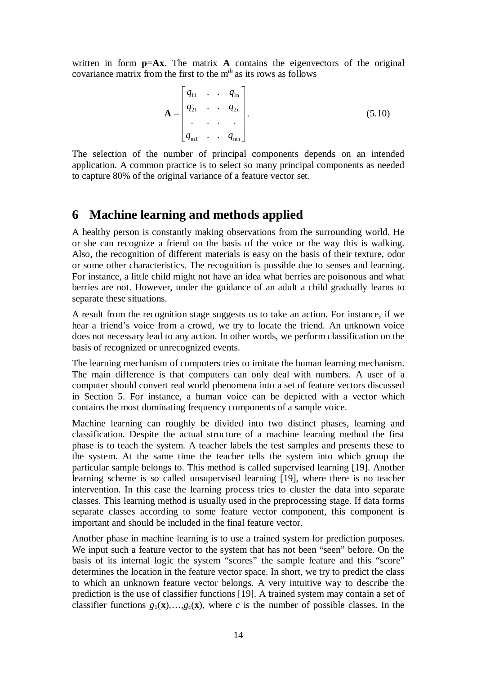<span id="page-20-0"></span>written in form **p**=**Ax**. The matrix **A** contains the eigenvectors of the original covariance matrix from the first to the m*th* as its rows as follows

$$
\mathbf{A} = \begin{bmatrix} q_{11} & \cdots & q_{1n} \\ q_{21} & \cdots & q_{2n} \\ \vdots & \vdots & \vdots \\ q_{m1} & \cdots & q_{mn} \end{bmatrix} .
$$
 (5.10)

The selection of the number of principal components depends on an intended application. A common practice is to select so many principal components as needed to capture 80% of the original variance of a feature vector set.

### **6 Machine learning and methods applied**

A healthy person is constantly making observations from the surrounding world. He or she can recognize a friend on the basis of the voice or the way this is walking. Also, the recognition of different materials is easy on the basis of their texture, odor or some other characteristics. The recognition is possible due to senses and learning. For instance, a little child might not have an idea what berries are poisonous and what berries are not. However, under the guidance of an adult a child gradually learns to separate these situations.

A result from the recognition stage suggests us to take an action. For instance, if we hear a friend's voice from a crowd, we try to locate the friend. An unknown voice does not necessary lead to any action. In other words, we perform classification on the basis of recognized or unrecognized events.

The learning mechanism of computers tries to imitate the human learning mechanism. The main difference is that computers can only deal with numbers. A user of a computer should convert real world phenomena into a set of feature vectors discussed in Section 5. For instance, a human voice can be depicted with a vector which contains the most dominating frequency components of a sample voice.

Machine learning can roughly be divided into two distinct phases, learning and classification. Despite the actual structure of a machine learning method the first phase is to teach the system. A teacher labels the test samples and presents these to the system. At the same time the teacher tells the system into which group the particular sample belongs to. This method is called supervised learning [19]. Another learning scheme is so called unsupervised learning [19], where there is no teacher intervention. In this case the learning process tries to cluster the data into separate classes. This learning method is usually used in the preprocessing stage. If data forms separate classes according to some feature vector component, this component is important and should be included in the final feature vector.

Another phase in machine learning is to use a trained system for prediction purposes. We input such a feature vector to the system that has not been "seen" before. On the basis of its internal logic the system "scores" the sample feature and this "score" determines the location in the feature vector space. In short, we try to predict the class to which an unknown feature vector belongs. A very intuitive way to describe the prediction is the use of classifier functions [19]. A trained system may contain a set of classifier functions  $g_1(\mathbf{x}),...,g_c(\mathbf{x})$ , where *c* is the number of possible classes. In the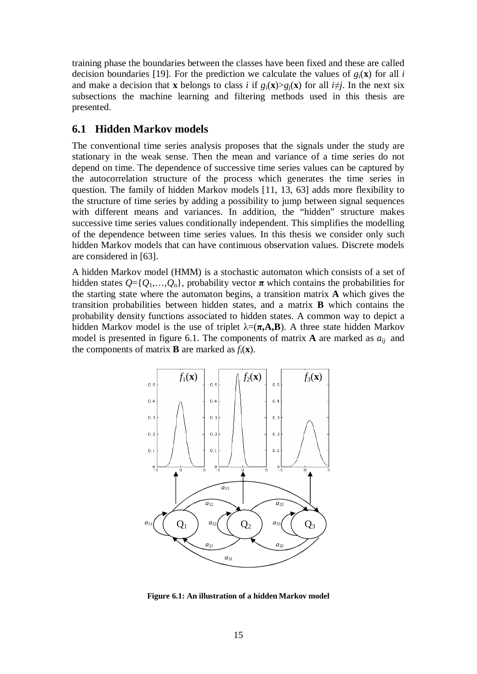<span id="page-21-0"></span>training phase the boundaries between the classes have been fixed and these are called decision boundaries [19]. For the prediction we calculate the values of  $g_i(\mathbf{x})$  for all *i* and make a decision that **x** belongs to class *i* if  $g_i(\mathbf{x}) > g_i(\mathbf{x})$  for all  $i \neq j$ . In the next six subsections the machine learning and filtering methods used in this thesis are presented.

#### **6.1 Hidden Markov models**

The conventional time series analysis proposes that the signals under the study are stationary in the weak sense. Then the mean and variance of a time series do not depend on time. The dependence of successive time series values can be captured by the autocorrelation structure of the process which generates the time series in question. The family of hidden Markov models [11, 13, 63] adds more flexibility to the structure of time series by adding a possibility to jump between signal sequences with different means and variances. In addition, the "hidden" structure makes successive time series values conditionally independent. This simplifies the modelling of the dependence between time series values. In this thesis we consider only such hidden Markov models that can have continuous observation values. Discrete models are considered in [63].

A hidden Markov model (HMM) is a stochastic automaton which consists of a set of hidden states  $Q = \{Q_1, \ldots, Q_n\}$ , probability vector  $\pi$  which contains the probabilities for the starting state where the automaton begins, a transition matrix **A** which gives the transition probabilities between hidden states, and a matrix **B** which contains the probability density functions associated to hidden states. A common way to depict a hidden Markov model is the use of triplet  $\lambda = (\pi, A, B)$ . A three state hidden Markov model is presented in figure 6.1. The components of matrix  $\bf{A}$  are marked as  $a_{ij}$  and the components of matrix **B** are marked as  $f_i(\mathbf{x})$ .



**Figure 6.1: An illustration of a hidden Markov model**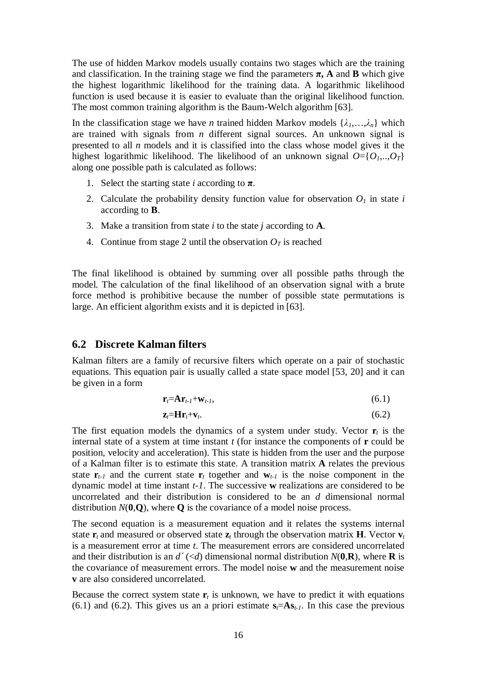<span id="page-22-0"></span>The use of hidden Markov models usually contains two stages which are the training and classification. In the training stage we find the parameters  $\pi$ , A and B which give the highest logarithmic likelihood for the training data. A logarithmic likelihood function is used because it is easier to evaluate than the original likelihood function. The most common training algorithm is the Baum-Welch algorithm [63].

In the classification stage we have *n* trained hidden Markov models  $\{\lambda_1, \ldots, \lambda_n\}$  which are trained with signals from *n* different signal sources. An unknown signal is presented to all *n* models and it is classified into the class whose model gives it the highest logarithmic likelihood. The likelihood of an unknown signal  $O = \{O_1, \ldots, O_T\}$ along one possible path is calculated as follows:

- 1. Select the starting state *i* according to  $\pi$ .
- 2. Calculate the probability density function value for observation  $O<sub>I</sub>$  in state *i* according to **B**.
- 3. Make a transition from state *i* to the state *j* according to **A**.
- 4. Continue from stage 2 until the observation  $O_T$  is reached

The final likelihood is obtained by summing over all possible paths through the model. The calculation of the final likelihood of an observation signal with a brute force method is prohibitive because the number of possible state permutations is large. An efficient algorithm exists and it is depicted in [63].

#### **6.2 Discrete Kalman filters**

Kalman filters are a family of recursive filters which operate on a pair of stochastic equations. This equation pair is usually called a state space model [53, 20] and it can be given in a form

$$
\mathbf{r}_t = \mathbf{A}\mathbf{r}_{t-1} + \mathbf{w}_{t-1},\tag{6.1}
$$

$$
\mathbf{z}_t = \mathbf{H} \mathbf{r}_t + \mathbf{v}_t. \tag{6.2}
$$

The first equation models the dynamics of a system under study. Vector  $\mathbf{r}_t$  is the internal state of a system at time instant *t* (for instance the components of **r** could be position, velocity and acceleration). This state is hidden from the user and the purpose of a Kalman filter is to estimate this state. A transition matrix **A** relates the previous state  $\mathbf{r}_{t-1}$  and the current state  $\mathbf{r}_t$  together and  $\mathbf{w}_{t-1}$  is the noise component in the dynamic model at time instant *t*-*1*. The successive **w** realizations are considered to be uncorrelated and their distribution is considered to be an *d* dimensional normal distribution *N*(**0**,**Q**), where **Q** is the covariance of a model noise process.

The second equation is a measurement equation and it relates the systems internal state  $\mathbf{r}_t$  and measured or observed state  $\mathbf{z}_t$  through the observation matrix **H**. Vector  $\mathbf{v}_t$ is a measurement error at time *t*. The measurement errors are considered uncorrelated and their distribution is an  $d'$  (<*d*) dimensional normal distribution  $N(\mathbf{0}, \mathbf{R})$ , where **R** is the covariance of measurement errors. The model noise **w** and the measurement noise **v** are also considered uncorrelated.

Because the correct system state  $\mathbf{r}_t$  is unknown, we have to predict it with equations (6.1) and (6.2). This gives us an a priori estimate  $s_f = As_{t-1}$ . In this case the previous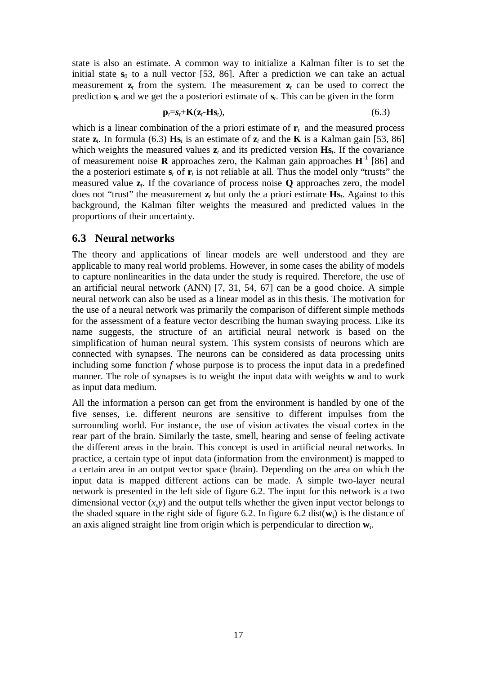<span id="page-23-0"></span>state is also an estimate. A common way to initialize a Kalman filter is to set the initial state  $s_0$  to a null vector [53, 86]. After a prediction we can take an actual measurement  $z_t$  from the system. The measurement  $z_t$  can be used to correct the prediction  $s_t$  and we get the a posteriori estimate of  $s_t$ . This can be given in the form

$$
\mathbf{p}_t = \mathbf{s}_t + \mathbf{K}(\mathbf{z}_t - \mathbf{H}\mathbf{s}_t),\tag{6.3}
$$

which is a linear combination of the a priori estimate of  $\mathbf{r}_t$  and the measured process state  $z_t$ . In formula (6.3) **Hs**<sub>*t*</sub> is an estimate of  $z_t$  and the **K** is a Kalman gain [53, 86] which weights the measured values  $z_t$  and its predicted version  $\mathbf{H}\mathbf{s}_t$ . If the covariance of measurement noise **R** approaches zero, the Kalman gain approaches  $H^{-1}$  [86] and the a posteriori estimate  $s_t$  of  $r_t$  is not reliable at all. Thus the model only "trusts" the measured value  $z_t$ . If the covariance of process noise **Q** approaches zero, the model does not "trust" the measurement  $\mathbf{z}_t$  but only the a priori estimate  $\mathbf{H}\mathbf{s}_t$ . Against to this background, the Kalman filter weights the measured and predicted values in the proportions of their uncertainty.

#### **6.3 Neural networks**

The theory and applications of linear models are well understood and they are applicable to many real world problems. However, in some cases the ability of models to capture nonlinearities in the data under the study is required. Therefore, the use of an artificial neural network (ANN) [7, 31, 54, 67] can be a good choice. A simple neural network can also be used as a linear model as in this thesis. The motivation for the use of a neural network was primarily the comparison of different simple methods for the assessment of a feature vector describing the human swaying process. Like its name suggests, the structure of an artificial neural network is based on the simplification of human neural system. This system consists of neurons which are connected with synapses. The neurons can be considered as data processing units including some function *f* whose purpose is to process the input data in a predefined manner. The role of synapses is to weight the input data with weights **w** and to work as input data medium.

All the information a person can get from the environment is handled by one of the five senses, i.e. different neurons are sensitive to different impulses from the surrounding world. For instance, the use of vision activates the visual cortex in the rear part of the brain. Similarly the taste, smell, hearing and sense of feeling activate the different areas in the brain. This concept is used in artificial neural networks. In practice, a certain type of input data (information from the environment) is mapped to a certain area in an output vector space (brain). Depending on the area on which the input data is mapped different actions can be made. A simple two-layer neural network is presented in the left side of figure 6.2. The input for this network is a two dimensional vector  $(x, y)$  and the output tells whether the given input vector belongs to the shaded square in the right side of figure 6.2. In figure 6.2 dist(**w**i) is the distance of an axis aligned straight line from origin which is perpendicular to direction **w**i.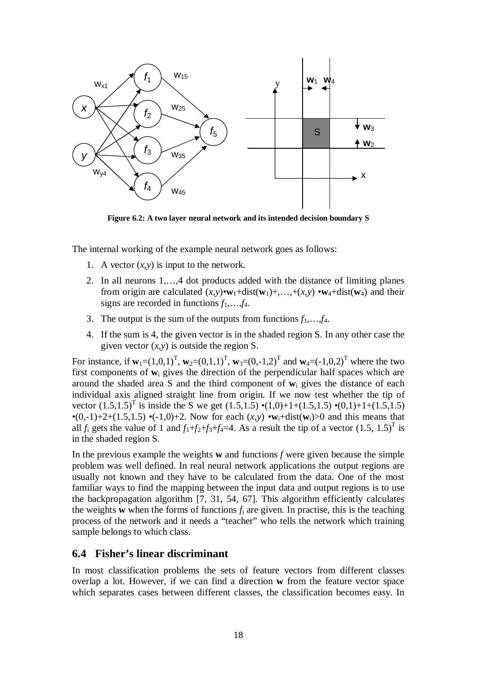<span id="page-24-0"></span>

**Figure 6.2: A two layer neural network and its intended decision boundary S**

The internal working of the example neural network goes as follows:

- 1. A vector  $(x, y)$  is input to the network.
- 2. In all neurons 1,…,4 dot products added with the distance of limiting planes from origin are calculated  $(x,y) \cdot w_1 + dist(w_1) + \ldots + (x,y) \cdot w_4 + dist(w_4)$  and their signs are recorded in functions  $f_1, \ldots, f_4$ .
- 3. The output is the sum of the outputs from functions  $f_1, \ldots, f_4$ .
- 4. If the sum is 4, the given vector is in the shaded region S. In any other case the given vector  $(x, y)$  is outside the region S.

For instance, if  $w_1=(1,0,1)^T$ ,  $w_2=(0,1,1)^T$ ,  $w_3=(0,-1,2)^T$  and  $w_4=(-1,0,2)^T$  where the two first components of **w**i gives the direction of the perpendicular half spaces which are around the shaded area S and the third component of **w**i gives the distance of each individual axis aligned straight line from origin. If we now test whether the tip of vector  $(1.5,1.5)^T$  is inside the S we get  $(1.5,1.5) \cdot (1,0)+1+(1.5,1.5) \cdot (0,1)+1+(1.5,1.5)$ •(0,-1)+2+(1.5,1.5) •(-1,0)+2. Now for each  $(x, y)$  • $w_i$ +dist $(w_i)$ >0 and this means that all  $f_i$  gets the value of 1 and  $f_1+f_2+f_3+f_4=4$ . As a result the tip of a vector  $(1.5, 1.5)^T$  is in the shaded region S.

In the previous example the weights **w** and functions *f* were given because the simple problem was well defined. In real neural network applications the output regions are usually not known and they have to be calculated from the data. One of the most familiar ways to find the mapping between the input data and output regions is to use the backpropagation algorithm [7, 31, 54, 67]. This algorithm efficiently calculates the weights **w** when the forms of functions  $f_i$  are given. In practise, this is the teaching process of the network and it needs a "teacher" who tells the network which training sample belongs to which class.

#### **6.4 Fisher's linear discriminant**

In most classification problems the sets of feature vectors from different classes overlap a lot. However, if we can find a direction **w** from the feature vector space which separates cases between different classes, the classification becomes easy. In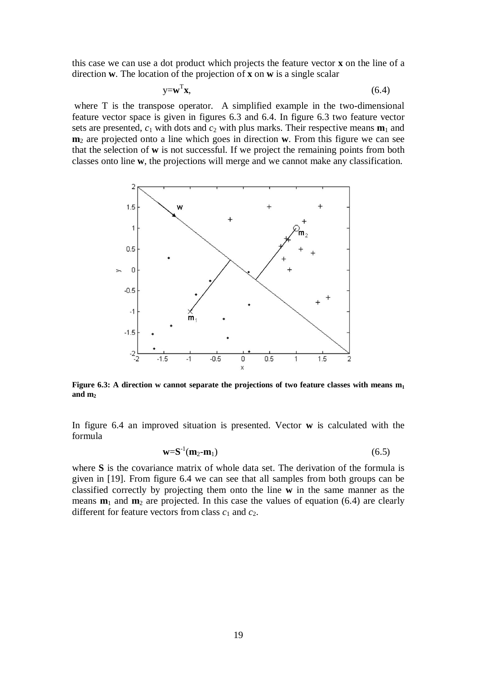this case we can use a dot product which projects the feature vector **x** on the line of a direction **w**. The location of the projection of **x** on **w** is a single scalar

$$
y = w^T x,\tag{6.4}
$$

where T is the transpose operator. A simplified example in the two-dimensional feature vector space is given in figures 6.3 and 6.4. In figure 6.3 two feature vector sets are presented,  $c_1$  with dots and  $c_2$  with plus marks. Their respective means  $\mathbf{m}_1$  and **m**<sub>2</sub> are projected onto a line which goes in direction **w**. From this figure we can see that the selection of **w** is not successful. If we project the remaining points from both classes onto line **w**, the projections will merge and we cannot make any classification.



**Figure 6.3:** A direction w cannot separate the projections of two feature classes with means  $m_1$ **and m<sup>2</sup>**

In figure 6.4 an improved situation is presented. Vector **w** is calculated with the formula

$$
\mathbf{w} = \mathbf{S}^{-1}(\mathbf{m}_2 - \mathbf{m}_1) \tag{6.5}
$$

where **S** is the covariance matrix of whole data set. The derivation of the formula is given in [19]. From figure 6.4 we can see that all samples from both groups can be classified correctly by projecting them onto the line **w** in the same manner as the means  $\mathbf{m}_1$  and  $\mathbf{m}_2$  are projected. In this case the values of equation (6.4) are clearly different for feature vectors from class  $c_1$  and  $c_2$ .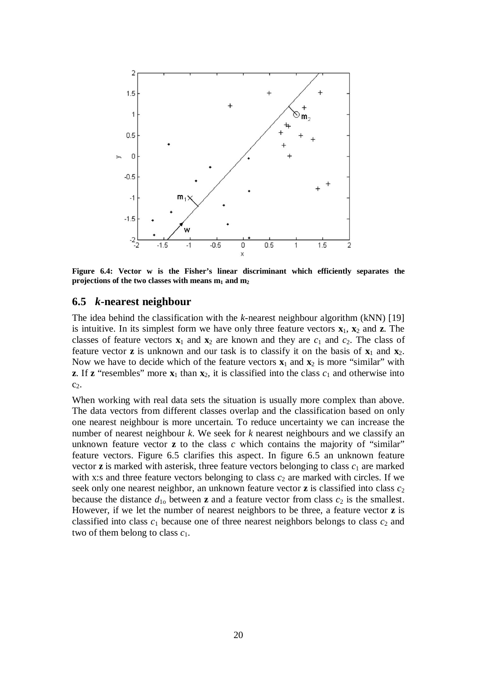<span id="page-26-0"></span>

**Figure 6.4: Vector w is the Fisher's linear discriminant which efficiently separates the projections of the two classes with means m1 and m<sup>2</sup>**

#### **6.5** *k***-nearest neighbour**

The idea behind the classification with the *k*-nearest neighbour algorithm (kNN) [19] is intuitive. In its simplest form we have only three feature vectors  $\mathbf{x}_1$ ,  $\mathbf{x}_2$  and **z**. The classes of feature vectors  $\mathbf{x}_1$  and  $\mathbf{x}_2$  are known and they are  $c_1$  and  $c_2$ . The class of feature vector **z** is unknown and our task is to classify it on the basis of  $x_1$  and  $x_2$ . Now we have to decide which of the feature vectors  $\mathbf{x}_1$  and  $\mathbf{x}_2$  is more "similar" with **z**. If **z** "resembles" more  $\mathbf{x}_1$  than  $\mathbf{x}_2$ , it is classified into the class  $c_1$  and otherwise into  $c_2$ .

When working with real data sets the situation is usually more complex than above. The data vectors from different classes overlap and the classification based on only one nearest neighbour is more uncertain. To reduce uncertainty we can increase the number of nearest neighbour *k*. We seek for *k* nearest neighbours and we classify an unknown feature vector **z** to the class *c* which contains the majority of "similar" feature vectors. Figure 6.5 clarifies this aspect. In figure 6.5 an unknown feature vector  $\bf{z}$  is marked with asterisk, three feature vectors belonging to class  $c_1$  are marked with x:s and three feature vectors belonging to class  $c_2$  are marked with circles. If we seek only one nearest neighbor, an unknown feature vector  $\mathbf{z}$  is classified into class  $c_2$ because the distance  $d_{10}$  between **z** and a feature vector from class  $c_2$  is the smallest. However, if we let the number of nearest neighbors to be three, a feature vector **z** is classified into class  $c_1$  because one of three nearest neighbors belongs to class  $c_2$  and two of them belong to class *c*1.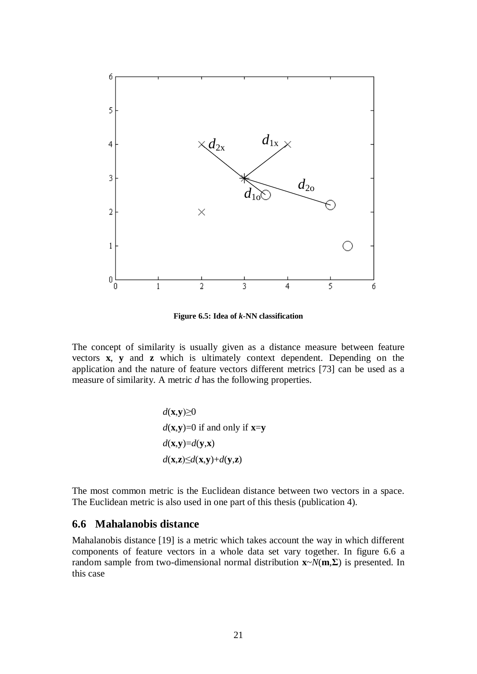<span id="page-27-0"></span>

**Figure 6.5: Idea of** *k***-NN classification**

The concept of similarity is usually given as a distance measure between feature vectors **x**, **y** and **z** which is ultimately context dependent. Depending on the application and the nature of feature vectors different metrics [73] can be used as a measure of similarity. A metric *d* has the following properties.

$$
d(\mathbf{x}, \mathbf{y}) \ge 0
$$
  
 
$$
d(\mathbf{x}, \mathbf{y}) = 0 \text{ if and only if } \mathbf{x} = \mathbf{y}
$$
  
 
$$
d(\mathbf{x}, \mathbf{y}) = d(\mathbf{y}, \mathbf{x})
$$
  
 
$$
d(\mathbf{x}, \mathbf{z}) \le d(\mathbf{x}, \mathbf{y}) + d(\mathbf{y}, \mathbf{z})
$$

The most common metric is the Euclidean distance between two vectors in a space. The Euclidean metric is also used in one part of this thesis (publication 4).

#### **6.6 Mahalanobis distance**

Mahalanobis distance [19] is a metric which takes account the way in which different components of feature vectors in a whole data set vary together. In figure 6.6 a random sample from two-dimensional normal distribution  $\mathbf{x} \sim N(\mathbf{m}, \Sigma)$  is presented. In this case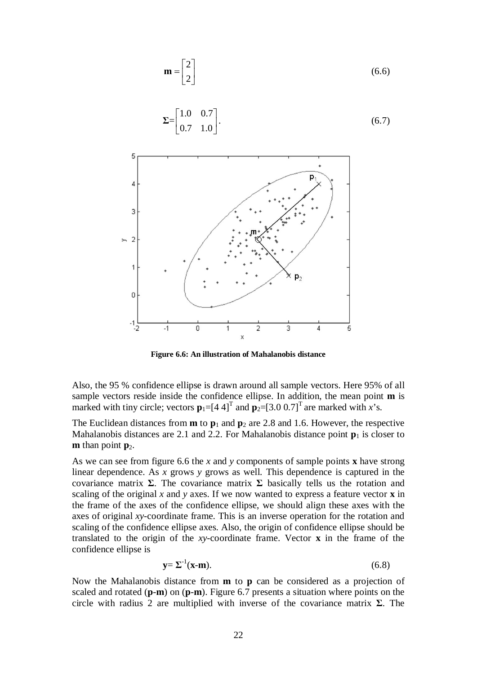

**Figure 6.6: An illustration of Mahalanobis distance**

Also, the 95 % confidence ellipse is drawn around all sample vectors. Here 95% of all sample vectors reside inside the confidence ellipse. In addition, the mean point **m** is marked with tiny circle; vectors  $\mathbf{p}_1 = [4 \ 4]^T$  and  $\mathbf{p}_2 = [3.0 \ 0.7]^T$  are marked with *x*'s.

The Euclidean distances from  $m$  to  $p_1$  and  $p_2$  are 2.8 and 1.6. However, the respective Mahalanobis distances are 2.1 and 2.2. For Mahalanobis distance point  $\mathbf{p}_1$  is closer to **m** than point  $\mathbf{p}_2$ .

As we can see from figure 6.6 the *x* and *y* components of sample points **x** have strong linear dependence. As *x* grows *y* grows as well. This dependence is captured in the covariance matrix  $\Sigma$ . The covariance matrix  $\Sigma$  basically tells us the rotation and scaling of the original *x* and *y* axes. If we now wanted to express a feature vector **x** in the frame of the axes of the confidence ellipse, we should align these axes with the axes of original *xy*-coordinate frame. This is an inverse operation for the rotation and scaling of the confidence ellipse axes. Also, the origin of confidence ellipse should be translated to the origin of the *xy*-coordinate frame. Vector **x** in the frame of the confidence ellipse is

$$
\mathbf{y} = \Sigma^{-1}(\mathbf{x} - \mathbf{m}).\tag{6.8}
$$

Now the Mahalanobis distance from **m** to **p** can be considered as a projection of scaled and rotated (**p**-**m**) on (**p**-**m**). Figure 6.7 presents a situation where points on the circle with radius 2 are multiplied with inverse of the covariance matrix  $\Sigma$ . The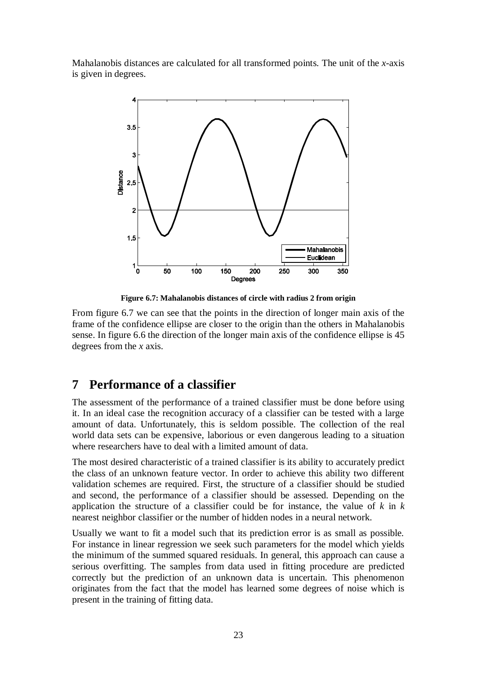<span id="page-29-0"></span>Mahalanobis distances are calculated for all transformed points. The unit of the *x*-axis is given in degrees.



**Figure 6.7: Mahalanobis distances of circle with radius 2 from origin**

From figure 6.7 we can see that the points in the direction of longer main axis of the frame of the confidence ellipse are closer to the origin than the others in Mahalanobis sense. In figure 6.6 the direction of the longer main axis of the confidence ellipse is 45 degrees from the *x* axis.

### **7 Performance of a classifier**

The assessment of the performance of a trained classifier must be done before using it. In an ideal case the recognition accuracy of a classifier can be tested with a large amount of data. Unfortunately, this is seldom possible. The collection of the real world data sets can be expensive, laborious or even dangerous leading to a situation where researchers have to deal with a limited amount of data.

The most desired characteristic of a trained classifier is its ability to accurately predict the class of an unknown feature vector. In order to achieve this ability two different validation schemes are required. First, the structure of a classifier should be studied and second, the performance of a classifier should be assessed. Depending on the application the structure of a classifier could be for instance, the value of *k* in *k* nearest neighbor classifier or the number of hidden nodes in a neural network.

Usually we want to fit a model such that its prediction error is as small as possible. For instance in linear regression we seek such parameters for the model which yields the minimum of the summed squared residuals. In general, this approach can cause a serious overfitting. The samples from data used in fitting procedure are predicted correctly but the prediction of an unknown data is uncertain. This phenomenon originates from the fact that the model has learned some degrees of noise which is present in the training of fitting data.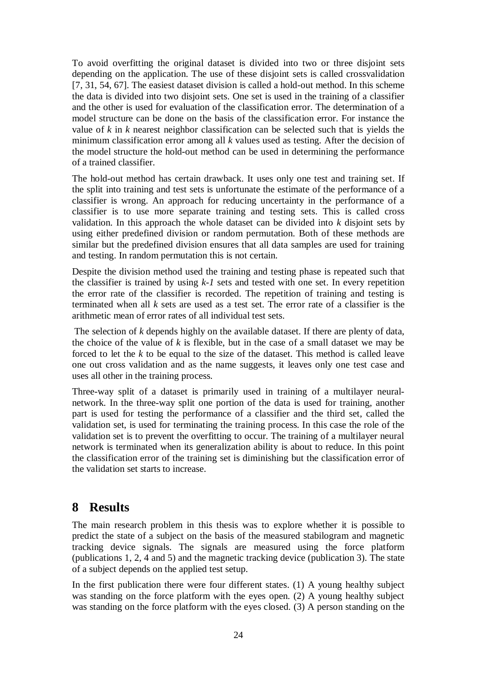<span id="page-30-0"></span>To avoid overfitting the original dataset is divided into two or three disjoint sets depending on the application. The use of these disjoint sets is called crossvalidation [7, 31, 54, 67]. The easiest dataset division is called a hold-out method. In this scheme the data is divided into two disjoint sets. One set is used in the training of a classifier and the other is used for evaluation of the classification error. The determination of a model structure can be done on the basis of the classification error. For instance the value of *k* in *k* nearest neighbor classification can be selected such that is yields the minimum classification error among all *k* values used as testing. After the decision of the model structure the hold-out method can be used in determining the performance of a trained classifier.

The hold-out method has certain drawback. It uses only one test and training set. If the split into training and test sets is unfortunate the estimate of the performance of a classifier is wrong. An approach for reducing uncertainty in the performance of a classifier is to use more separate training and testing sets. This is called cross validation. In this approach the whole dataset can be divided into *k* disjoint sets by using either predefined division or random permutation. Both of these methods are similar but the predefined division ensures that all data samples are used for training and testing. In random permutation this is not certain.

Despite the division method used the training and testing phase is repeated such that the classifier is trained by using *k-1* sets and tested with one set. In every repetition the error rate of the classifier is recorded. The repetition of training and testing is terminated when all  $k$  sets are used as a test set. The error rate of a classifier is the arithmetic mean of error rates of all individual test sets.

 The selection of *k* depends highly on the available dataset. If there are plenty of data, the choice of the value of *k* is flexible, but in the case of a small dataset we may be forced to let the *k* to be equal to the size of the dataset. This method is called leave one out cross validation and as the name suggests, it leaves only one test case and uses all other in the training process.

Three-way split of a dataset is primarily used in training of a multilayer neuralnetwork. In the three-way split one portion of the data is used for training, another part is used for testing the performance of a classifier and the third set, called the validation set, is used for terminating the training process. In this case the role of the validation set is to prevent the overfitting to occur. The training of a multilayer neural network is terminated when its generalization ability is about to reduce. In this point the classification error of the training set is diminishing but the classification error of the validation set starts to increase.

### **8 Results**

The main research problem in this thesis was to explore whether it is possible to predict the state of a subject on the basis of the measured stabilogram and magnetic tracking device signals. The signals are measured using the force platform (publications 1, 2, 4 and 5) and the magnetic tracking device (publication 3). The state of a subject depends on the applied test setup.

In the first publication there were four different states. (1) A young healthy subject was standing on the force platform with the eyes open. (2) A young healthy subject was standing on the force platform with the eyes closed. (3) A person standing on the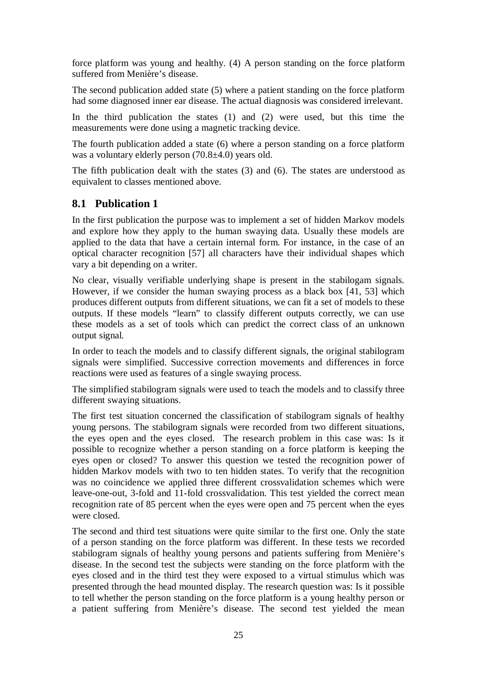<span id="page-31-0"></span>force platform was young and healthy. (4) A person standing on the force platform suffered from Menière's disease.

The second publication added state (5) where a patient standing on the force platform had some diagnosed inner ear disease. The actual diagnosis was considered irrelevant.

In the third publication the states (1) and (2) were used, but this time the measurements were done using a magnetic tracking device.

The fourth publication added a state (6) where a person standing on a force platform was a voluntary elderly person (70.8±4.0) years old.

The fifth publication dealt with the states (3) and (6). The states are understood as equivalent to classes mentioned above.

#### **8.1 Publication 1**

In the first publication the purpose was to implement a set of hidden Markov models and explore how they apply to the human swaying data. Usually these models are applied to the data that have a certain internal form. For instance, in the case of an optical character recognition [57] all characters have their individual shapes which vary a bit depending on a writer.

No clear, visually verifiable underlying shape is present in the stabilogam signals. However, if we consider the human swaying process as a black box [41, 53] which produces different outputs from different situations, we can fit a set of models to these outputs. If these models "learn" to classify different outputs correctly, we can use these models as a set of tools which can predict the correct class of an unknown output signal.

In order to teach the models and to classify different signals, the original stabilogram signals were simplified. Successive correction movements and differences in force reactions were used as features of a single swaying process.

The simplified stabilogram signals were used to teach the models and to classify three different swaying situations.

The first test situation concerned the classification of stabilogram signals of healthy young persons. The stabilogram signals were recorded from two different situations, the eyes open and the eyes closed. The research problem in this case was: Is it possible to recognize whether a person standing on a force platform is keeping the eyes open or closed? To answer this question we tested the recognition power of hidden Markov models with two to ten hidden states. To verify that the recognition was no coincidence we applied three different crossvalidation schemes which were leave-one-out, 3-fold and 11-fold crossvalidation. This test yielded the correct mean recognition rate of 85 percent when the eyes were open and 75 percent when the eyes were closed.

The second and third test situations were quite similar to the first one. Only the state of a person standing on the force platform was different. In these tests we recorded stabilogram signals of healthy young persons and patients suffering from Menière's disease. In the second test the subjects were standing on the force platform with the eyes closed and in the third test they were exposed to a virtual stimulus which was presented through the head mounted display. The research question was: Is it possible to tell whether the person standing on the force platform is a young healthy person or a patient suffering from Menière's disease. The second test yielded the mean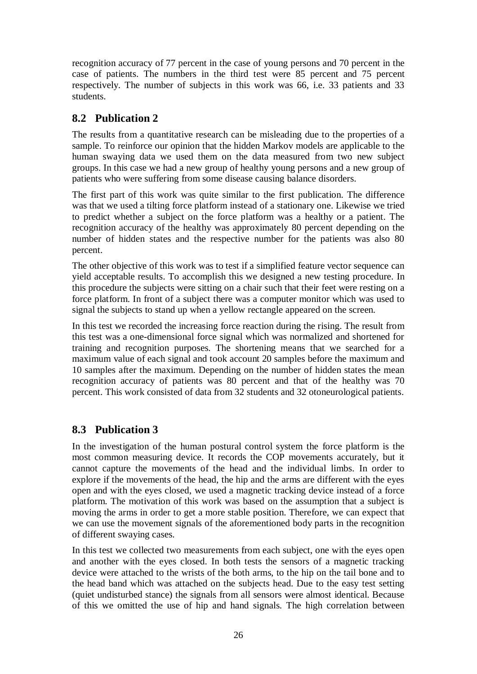<span id="page-32-0"></span>recognition accuracy of 77 percent in the case of young persons and 70 percent in the case of patients. The numbers in the third test were 85 percent and 75 percent respectively. The number of subjects in this work was 66, i.e. 33 patients and 33 students.

### **8.2 Publication 2**

The results from a quantitative research can be misleading due to the properties of a sample. To reinforce our opinion that the hidden Markov models are applicable to the human swaying data we used them on the data measured from two new subject groups. In this case we had a new group of healthy young persons and a new group of patients who were suffering from some disease causing balance disorders.

The first part of this work was quite similar to the first publication. The difference was that we used a tilting force platform instead of a stationary one. Likewise we tried to predict whether a subject on the force platform was a healthy or a patient. The recognition accuracy of the healthy was approximately 80 percent depending on the number of hidden states and the respective number for the patients was also 80 percent.

The other objective of this work was to test if a simplified feature vector sequence can yield acceptable results. To accomplish this we designed a new testing procedure. In this procedure the subjects were sitting on a chair such that their feet were resting on a force platform. In front of a subject there was a computer monitor which was used to signal the subjects to stand up when a yellow rectangle appeared on the screen.

In this test we recorded the increasing force reaction during the rising. The result from this test was a one-dimensional force signal which was normalized and shortened for training and recognition purposes. The shortening means that we searched for a maximum value of each signal and took account 20 samples before the maximum and 10 samples after the maximum. Depending on the number of hidden states the mean recognition accuracy of patients was 80 percent and that of the healthy was 70 percent. This work consisted of data from 32 students and 32 otoneurological patients.

### **8.3 Publication 3**

In the investigation of the human postural control system the force platform is the most common measuring device. It records the COP movements accurately, but it cannot capture the movements of the head and the individual limbs. In order to explore if the movements of the head, the hip and the arms are different with the eyes open and with the eyes closed, we used a magnetic tracking device instead of a force platform. The motivation of this work was based on the assumption that a subject is moving the arms in order to get a more stable position. Therefore, we can expect that we can use the movement signals of the aforementioned body parts in the recognition of different swaying cases.

In this test we collected two measurements from each subject, one with the eyes open and another with the eyes closed. In both tests the sensors of a magnetic tracking device were attached to the wrists of the both arms, to the hip on the tail bone and to the head band which was attached on the subjects head. Due to the easy test setting (quiet undisturbed stance) the signals from all sensors were almost identical. Because of this we omitted the use of hip and hand signals. The high correlation between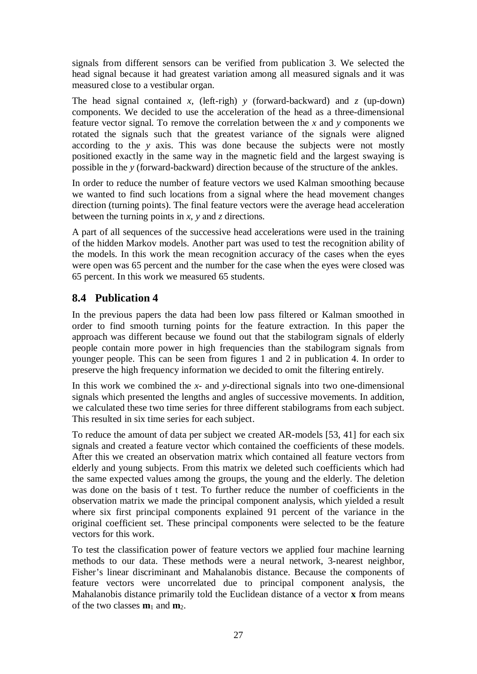<span id="page-33-0"></span>signals from different sensors can be verified from publication 3. We selected the head signal because it had greatest variation among all measured signals and it was measured close to a vestibular organ.

The head signal contained *x*, (left-righ) *y* (forward-backward) and *z* (up-down) components. We decided to use the acceleration of the head as a three-dimensional feature vector signal. To remove the correlation between the *x* and *y* components we rotated the signals such that the greatest variance of the signals were aligned according to the *y* axis. This was done because the subjects were not mostly positioned exactly in the same way in the magnetic field and the largest swaying is possible in the *y* (forward-backward) direction because of the structure of the ankles.

In order to reduce the number of feature vectors we used Kalman smoothing because we wanted to find such locations from a signal where the head movement changes direction (turning points). The final feature vectors were the average head acceleration between the turning points in *x*, *y* and *z* directions.

A part of all sequences of the successive head accelerations were used in the training of the hidden Markov models. Another part was used to test the recognition ability of the models. In this work the mean recognition accuracy of the cases when the eyes were open was 65 percent and the number for the case when the eyes were closed was 65 percent. In this work we measured 65 students.

### **8.4 Publication 4**

In the previous papers the data had been low pass filtered or Kalman smoothed in order to find smooth turning points for the feature extraction. In this paper the approach was different because we found out that the stabilogram signals of elderly people contain more power in high frequencies than the stabilogram signals from younger people. This can be seen from figures 1 and 2 in publication 4. In order to preserve the high frequency information we decided to omit the filtering entirely.

In this work we combined the *x*- and *y*-directional signals into two one-dimensional signals which presented the lengths and angles of successive movements. In addition, we calculated these two time series for three different stabilograms from each subject. This resulted in six time series for each subject.

To reduce the amount of data per subject we created AR-models [53, 41] for each six signals and created a feature vector which contained the coefficients of these models. After this we created an observation matrix which contained all feature vectors from elderly and young subjects. From this matrix we deleted such coefficients which had the same expected values among the groups, the young and the elderly. The deletion was done on the basis of t test. To further reduce the number of coefficients in the observation matrix we made the principal component analysis, which yielded a result where six first principal components explained 91 percent of the variance in the original coefficient set. These principal components were selected to be the feature vectors for this work.

To test the classification power of feature vectors we applied four machine learning methods to our data. These methods were a neural network, 3-nearest neighbor, Fisher's linear discriminant and Mahalanobis distance. Because the components of feature vectors were uncorrelated due to principal component analysis, the Mahalanobis distance primarily told the Euclidean distance of a vector **x** from means of the two classes **m**1 and **m**2.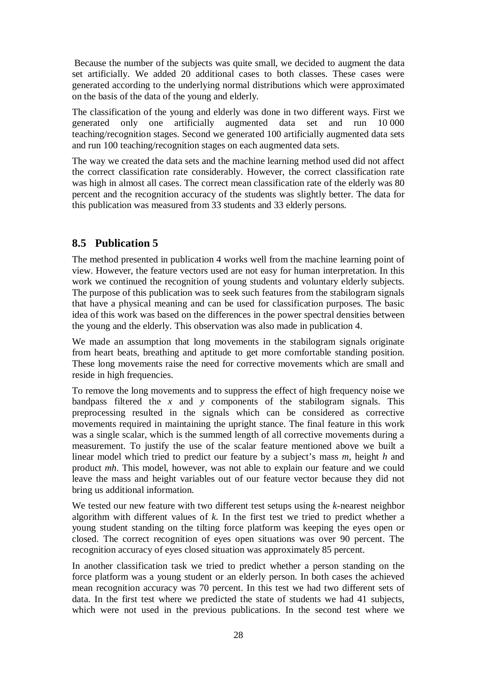<span id="page-34-0"></span> Because the number of the subjects was quite small, we decided to augment the data set artificially. We added 20 additional cases to both classes. These cases were generated according to the underlying normal distributions which were approximated on the basis of the data of the young and elderly.

The classification of the young and elderly was done in two different ways. First we generated only one artificially augmented data set and run 10 000 teaching/recognition stages. Second we generated 100 artificially augmented data sets and run 100 teaching/recognition stages on each augmented data sets.

The way we created the data sets and the machine learning method used did not affect the correct classification rate considerably. However, the correct classification rate was high in almost all cases. The correct mean classification rate of the elderly was 80 percent and the recognition accuracy of the students was slightly better. The data for this publication was measured from 33 students and 33 elderly persons.

### **8.5 Publication 5**

The method presented in publication 4 works well from the machine learning point of view. However, the feature vectors used are not easy for human interpretation. In this work we continued the recognition of young students and voluntary elderly subjects. The purpose of this publication was to seek such features from the stabilogram signals that have a physical meaning and can be used for classification purposes. The basic idea of this work was based on the differences in the power spectral densities between the young and the elderly. This observation was also made in publication 4.

We made an assumption that long movements in the stabilogram signals originate from heart beats, breathing and aptitude to get more comfortable standing position. These long movements raise the need for corrective movements which are small and reside in high frequencies.

To remove the long movements and to suppress the effect of high frequency noise we bandpass filtered the *x* and *y* components of the stabilogram signals. This preprocessing resulted in the signals which can be considered as corrective movements required in maintaining the upright stance. The final feature in this work was a single scalar, which is the summed length of all corrective movements during a measurement. To justify the use of the scalar feature mentioned above we built a linear model which tried to predict our feature by a subject's mass *m*, height *h* and product *mh*. This model, however, was not able to explain our feature and we could leave the mass and height variables out of our feature vector because they did not bring us additional information.

We tested our new feature with two different test setups using the *k*-nearest neighbor algorithm with different values of *k*. In the first test we tried to predict whether a young student standing on the tilting force platform was keeping the eyes open or closed. The correct recognition of eyes open situations was over 90 percent. The recognition accuracy of eyes closed situation was approximately 85 percent.

In another classification task we tried to predict whether a person standing on the force platform was a young student or an elderly person. In both cases the achieved mean recognition accuracy was 70 percent. In this test we had two different sets of data. In the first test where we predicted the state of students we had 41 subjects, which were not used in the previous publications. In the second test where we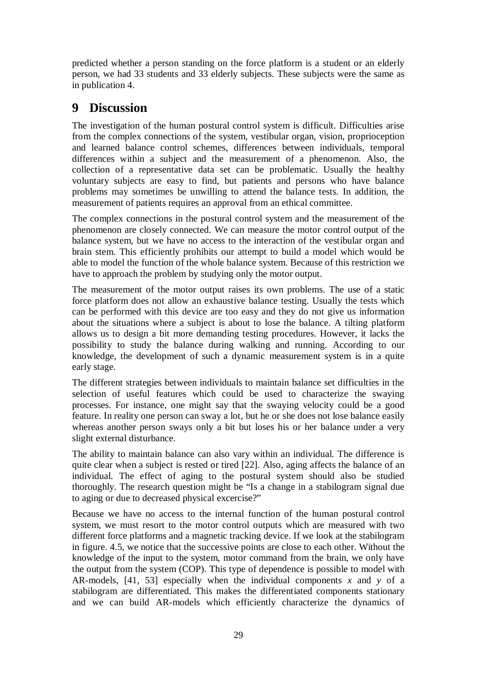<span id="page-35-0"></span>predicted whether a person standing on the force platform is a student or an elderly person, we had 33 students and 33 elderly subjects. These subjects were the same as in publication 4.

# **9 Discussion**

The investigation of the human postural control system is difficult. Difficulties arise from the complex connections of the system, vestibular organ, vision, proprioception and learned balance control schemes, differences between individuals, temporal differences within a subject and the measurement of a phenomenon. Also, the collection of a representative data set can be problematic. Usually the healthy voluntary subjects are easy to find, but patients and persons who have balance problems may sometimes be unwilling to attend the balance tests. In addition, the measurement of patients requires an approval from an ethical committee.

The complex connections in the postural control system and the measurement of the phenomenon are closely connected. We can measure the motor control output of the balance system, but we have no access to the interaction of the vestibular organ and brain stem. This efficiently prohibits our attempt to build a model which would be able to model the function of the whole balance system. Because of this restriction we have to approach the problem by studying only the motor output.

The measurement of the motor output raises its own problems. The use of a static force platform does not allow an exhaustive balance testing. Usually the tests which can be performed with this device are too easy and they do not give us information about the situations where a subject is about to lose the balance. A tilting platform allows us to design a bit more demanding testing procedures. However, it lacks the possibility to study the balance during walking and running. According to our knowledge, the development of such a dynamic measurement system is in a quite early stage.

The different strategies between individuals to maintain balance set difficulties in the selection of useful features which could be used to characterize the swaying processes. For instance, one might say that the swaying velocity could be a good feature. In reality one person can sway a lot, but he or she does not lose balance easily whereas another person sways only a bit but loses his or her balance under a very slight external disturbance.

The ability to maintain balance can also vary within an individual. The difference is quite clear when a subject is rested or tired [22]. Also, aging affects the balance of an individual. The effect of aging to the postural system should also be studied thoroughly. The research question might be "Is a change in a stabilogram signal due to aging or due to decreased physical excercise?"

Because we have no access to the internal function of the human postural control system, we must resort to the motor control outputs which are measured with two different force platforms and a magnetic tracking device. If we look at the stabilogram in figure. 4.5, we notice that the successive points are close to each other. Without the knowledge of the input to the system, motor command from the brain, we only have the output from the system (COP). This type of dependence is possible to model with AR-models, [41, 53] especially when the individual components *x* and *y* of a stabilogram are differentiated. This makes the differentiated components stationary and we can build AR-models which efficiently characterize the dynamics of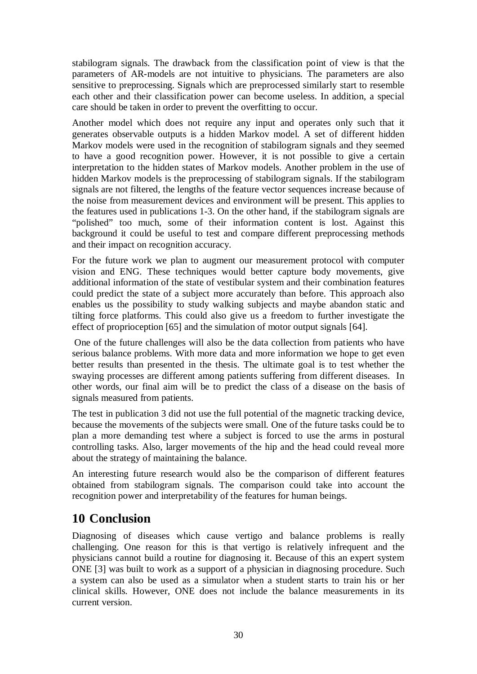<span id="page-36-0"></span>stabilogram signals. The drawback from the classification point of view is that the parameters of AR-models are not intuitive to physicians. The parameters are also sensitive to preprocessing. Signals which are preprocessed similarly start to resemble each other and their classification power can become useless. In addition, a special care should be taken in order to prevent the overfitting to occur.

Another model which does not require any input and operates only such that it generates observable outputs is a hidden Markov model. A set of different hidden Markov models were used in the recognition of stabilogram signals and they seemed to have a good recognition power. However, it is not possible to give a certain interpretation to the hidden states of Markov models. Another problem in the use of hidden Markov models is the preprocessing of stabilogram signals. If the stabilogram signals are not filtered, the lengths of the feature vector sequences increase because of the noise from measurement devices and environment will be present. This applies to the features used in publications 1-3. On the other hand, if the stabilogram signals are "polished" too much, some of their information content is lost. Against this background it could be useful to test and compare different preprocessing methods and their impact on recognition accuracy.

For the future work we plan to augment our measurement protocol with computer vision and ENG. These techniques would better capture body movements, give additional information of the state of vestibular system and their combination features could predict the state of a subject more accurately than before. This approach also enables us the possibility to study walking subjects and maybe abandon static and tilting force platforms. This could also give us a freedom to further investigate the effect of proprioception [65] and the simulation of motor output signals [64].

 One of the future challenges will also be the data collection from patients who have serious balance problems. With more data and more information we hope to get even better results than presented in the thesis. The ultimate goal is to test whether the swaying processes are different among patients suffering from different diseases. In other words, our final aim will be to predict the class of a disease on the basis of signals measured from patients.

The test in publication 3 did not use the full potential of the magnetic tracking device, because the movements of the subjects were small. One of the future tasks could be to plan a more demanding test where a subject is forced to use the arms in postural controlling tasks. Also, larger movements of the hip and the head could reveal more about the strategy of maintaining the balance.

An interesting future research would also be the comparison of different features obtained from stabilogram signals. The comparison could take into account the recognition power and interpretability of the features for human beings.

# **10 Conclusion**

Diagnosing of diseases which cause vertigo and balance problems is really challenging. One reason for this is that vertigo is relatively infrequent and the physicians cannot build a routine for diagnosing it. Because of this an expert system ONE [3] was built to work as a support of a physician in diagnosing procedure. Such a system can also be used as a simulator when a student starts to train his or her clinical skills. However, ONE does not include the balance measurements in its current version.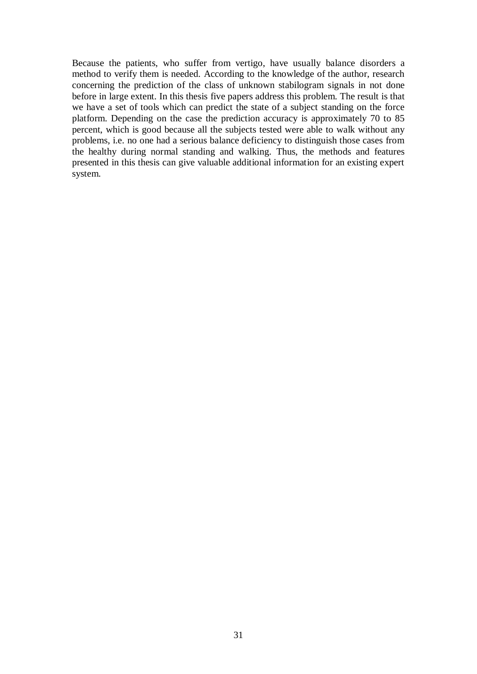Because the patients, who suffer from vertigo, have usually balance disorders a method to verify them is needed. According to the knowledge of the author, research concerning the prediction of the class of unknown stabilogram signals in not done before in large extent. In this thesis five papers address this problem. The result is that we have a set of tools which can predict the state of a subject standing on the force platform. Depending on the case the prediction accuracy is approximately 70 to 85 percent, which is good because all the subjects tested were able to walk without any problems, i.e. no one had a serious balance deficiency to distinguish those cases from the healthy during normal standing and walking. Thus, the methods and features presented in this thesis can give valuable additional information for an existing expert system.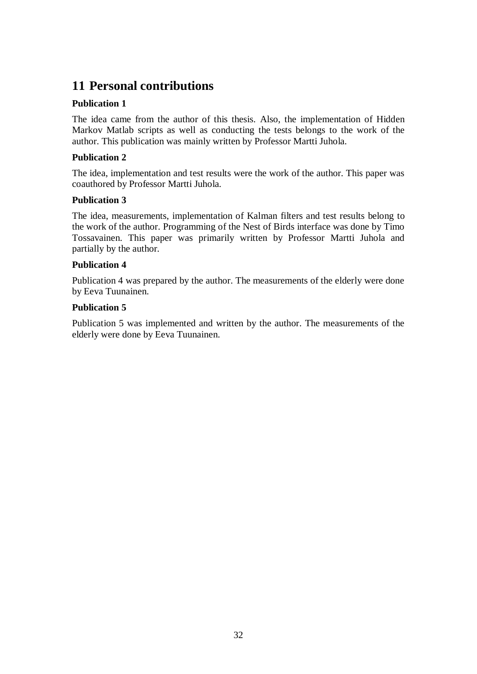# <span id="page-38-0"></span>**11 Personal contributions**

#### **Publication 1**

The idea came from the author of this thesis. Also, the implementation of Hidden Markov Matlab scripts as well as conducting the tests belongs to the work of the author. This publication was mainly written by Professor Martti Juhola.

#### **Publication 2**

The idea, implementation and test results were the work of the author. This paper was coauthored by Professor Martti Juhola.

#### **Publication 3**

The idea, measurements, implementation of Kalman filters and test results belong to the work of the author. Programming of the Nest of Birds interface was done by Timo Tossavainen. This paper was primarily written by Professor Martti Juhola and partially by the author.

#### **Publication 4**

Publication 4 was prepared by the author. The measurements of the elderly were done by Eeva Tuunainen.

#### **Publication 5**

Publication 5 was implemented and written by the author. The measurements of the elderly were done by Eeva Tuunainen.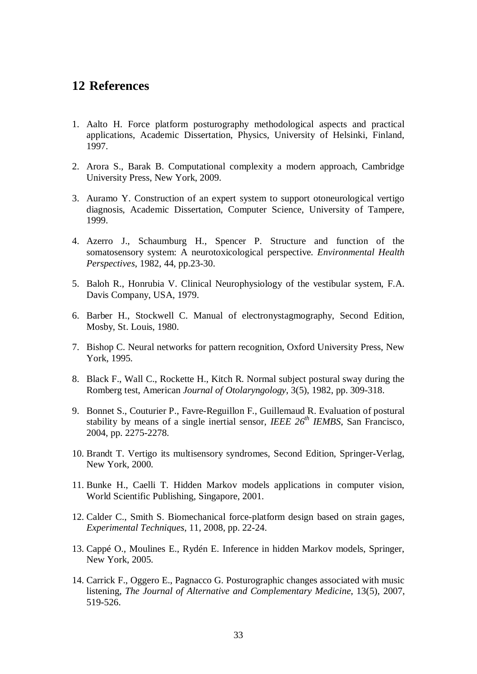### <span id="page-39-0"></span>**12 References**

- 1. Aalto H. Force platform posturography methodological aspects and practical applications, Academic Dissertation, Physics, University of Helsinki, Finland, 1997.
- 2. Arora S., Barak B. Computational complexity a modern approach, Cambridge University Press, New York, 2009.
- 3. Auramo Y. Construction of an expert system to support otoneurological vertigo diagnosis, Academic Dissertation, Computer Science, University of Tampere, 1999.
- 4. Azerro J., Schaumburg H., Spencer P. Structure and function of the somatosensory system: A neurotoxicological perspective*. Environmental Health Perspectives*, 1982, 44, pp.23-30.
- 5. Baloh R., Honrubia V. Clinical Neurophysiology of the vestibular system, F.A. Davis Company, USA, 1979.
- 6. Barber H., Stockwell C. Manual of electronystagmography, Second Edition, Mosby, St. Louis, 1980.
- 7. Bishop C. Neural networks for pattern recognition, Oxford University Press, New York, 1995.
- 8. Black F., Wall C., Rockette H., Kitch R. Normal subject postural sway during the Romberg test, American *Journal of Otolaryngology*, 3(5), 1982, pp. 309-318.
- 9. Bonnet S., Couturier P., Favre-Reguillon F., Guillemaud R. Evaluation of postural stability by means of a single inertial sensor, *IEEE 26th IEMBS*, San Francisco, 2004, pp. 2275-2278.
- 10. Brandt T. Vertigo its multisensory syndromes, Second Edition, Springer-Verlag, New York, 2000.
- 11. Bunke H., Caelli T. Hidden Markov models applications in computer vision, World Scientific Publishing, Singapore, 2001.
- 12. Calder C., Smith S. Biomechanical force-platform design based on strain gages, *Experimental Techniques*, 11, 2008, pp. 22-24.
- 13. Cappé O., Moulines E., Rydén E. Inference in hidden Markov models, Springer, New York, 2005.
- 14. Carrick F., Oggero E., Pagnacco G. Posturographic changes associated with music listening, *The Journal of Alternative and Complementary Medicine*, 13(5), 2007, 519-526.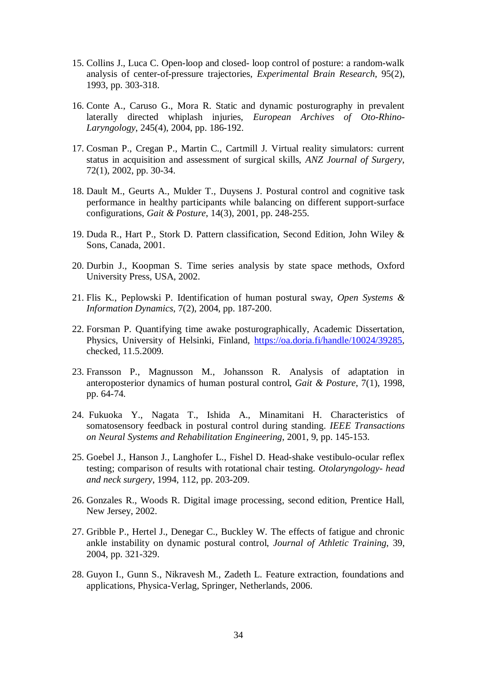- 15. Collins J., Luca C. Open-loop and closed- loop control of posture: a random-walk analysis of center-of-pressure trajectories, *Experimental Brain Research*, 95(2), 1993, pp. 303-318.
- 16. Conte A., Caruso G., Mora R. Static and dynamic posturography in prevalent laterally directed whiplash injuries, *European Archives of Oto-Rhino-Laryngology*, 245(4), 2004, pp. 186-192.
- 17. Cosman P., Cregan P., Martin C., Cartmill J. Virtual reality simulators: current status in acquisition and assessment of surgical skills, *ANZ Journal of Surgery*, 72(1), 2002, pp. 30-34.
- 18. Dault M., Geurts A., Mulder T., Duysens J. Postural control and cognitive task performance in healthy participants while balancing on different support-surface configurations, *Gait & Posture*, 14(3), 2001, pp. 248-255.
- 19. Duda R., Hart P., Stork D. Pattern classification, Second Edition, John Wiley & Sons, Canada, 2001.
- 20. Durbin J., Koopman S. Time series analysis by state space methods, Oxford University Press, USA, 2002.
- 21. Flis K., Peplowski P. Identification of human postural sway, *Open Systems & Information Dynamics*, 7(2), 2004, pp. 187-200.
- 22. Forsman P. Quantifying time awake posturographically, Academic Dissertation, Physics, University of Helsinki, Finland, https://oa.doria.fi/handle/10024/39285, checked, 11.5.2009.
- 23. Fransson P., Magnusson M., Johansson R. Analysis of adaptation in anteroposterior dynamics of human postural control, *Gait & Posture*, 7(1), 1998, pp. 64-74.
- 24. Fukuoka Y., Nagata T., Ishida A., Minamitani H. Characteristics of somatosensory feedback in postural control during standing. *IEEE Transactions on Neural Systems and Rehabilitation Engineering*, 2001, 9, pp. 145-153.
- 25. Goebel J., Hanson J., Langhofer L., Fishel D. Head-shake vestibulo-ocular reflex testing; comparison of results with rotational chair testing. *Otolaryngology- head and neck surgery*, 1994, 112, pp. 203-209.
- 26. Gonzales R., Woods R. Digital image processing, second edition, Prentice Hall, New Jersey, 2002.
- 27. Gribble P., Hertel J., Denegar C., Buckley W. The effects of fatigue and chronic ankle instability on dynamic postural control, *Journal of Athletic Training*, 39, 2004, pp. 321-329.
- 28. Guyon I., Gunn S., Nikravesh M., Zadeth L. Feature extraction, foundations and applications, Physica-Verlag, Springer, Netherlands, 2006.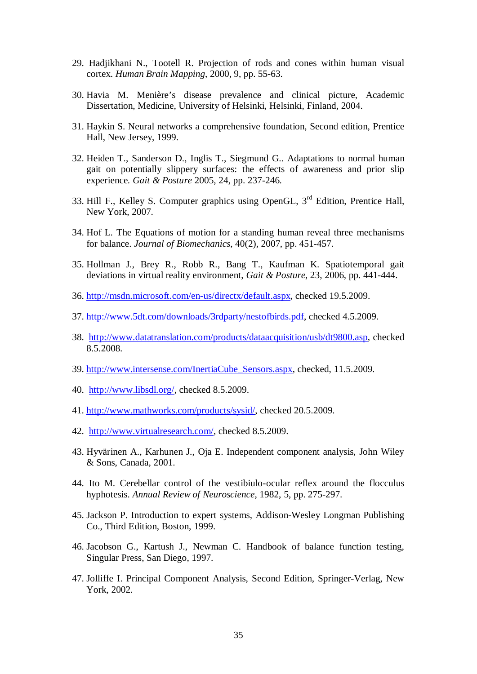- 29. Hadjikhani N., Tootell R. Projection of rods and cones within human visual cortex. *Human Brain Mapping*, 2000, 9, pp. 55-63.
- 30. Havia M. Menière's disease prevalence and clinical picture, Academic Dissertation, Medicine, University of Helsinki, Helsinki, Finland, 2004.
- 31. Haykin S. Neural networks a comprehensive foundation, Second edition, Prentice Hall, New Jersey, 1999.
- 32. Heiden T., Sanderson D., Inglis T., Siegmund G.. Adaptations to normal human gait on potentially slippery surfaces: the effects of awareness and prior slip experience*. Gait & Posture* 2005, 24, pp. 237-246.
- 33. Hill F., Kelley S. Computer graphics using OpenGL, 3rd Edition, Prentice Hall, New York, 2007.
- 34. Hof L. The Equations of motion for a standing human reveal three mechanisms for balance. *Journal of Biomechanics*, 40(2), 2007, pp. 451-457.
- 35. Hollman J., Brey R., Robb R., Bang T., Kaufman K. Spatiotemporal gait deviations in virtual reality environment, *Gait & Posture*, 23, 2006, pp. 441-444.
- 36. http://msdn.microsoft.com/en-us/directx/default.aspx, checked 19.5.2009.
- 37. http://www.5dt.com/downloads/3rdparty/nestofbirds.pdf, checked 4.5.2009.
- 38. http://www.datatranslation.com/products/dataacquisition/usb/dt9800.asp, checked 8.5.2008.
- 39. http://www.intersense.com/InertiaCube\_Sensors.aspx, checked, 11.5.2009.
- 40. http://www.libsdl.org/, checked 8.5.2009.
- 41. http://www.mathworks.com/products/sysid/, checked 20.5.2009.
- 42. http://www.virtualresearch.com/, checked 8.5.2009.
- 43. Hyvärinen A., Karhunen J., Oja E. Independent component analysis, John Wiley & Sons, Canada, 2001.
- 44. Ito M. Cerebellar control of the vestibiulo-ocular reflex around the flocculus hyphotesis. *Annual Review of Neuroscience*, 1982, 5, pp. 275-297.
- 45. Jackson P. Introduction to expert systems, Addison-Wesley Longman Publishing Co., Third Edition, Boston, 1999.
- 46. Jacobson G., Kartush J., Newman C. Handbook of balance function testing, Singular Press, San Diego, 1997.
- 47. Jolliffe I. Principal Component Analysis, Second Edition, Springer-Verlag, New York, 2002.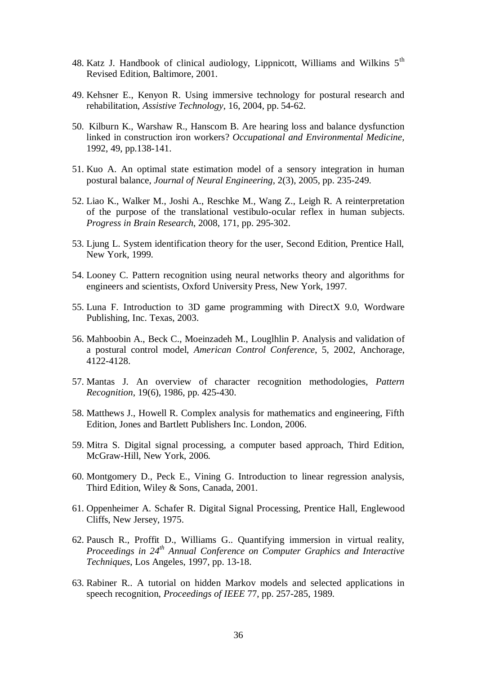- 48. Katz J. Handbook of clinical audiology, Lippnicott, Williams and Wilkins 5th Revised Edition, Baltimore, 2001.
- 49. Kehsner E., Kenyon R. Using immersive technology for postural research and rehabilitation, *Assistive Technology*, 16, 2004, pp. 54-62.
- 50. Kilburn K., Warshaw R., Hanscom B. Are hearing loss and balance dysfunction linked in construction iron workers? *Occupational and Environmental Medicine,* 1992, 49, pp.138-141.
- 51. Kuo A. An optimal state estimation model of a sensory integration in human postural balance, *Journal of Neural Engineering*, 2(3), 2005, pp. 235-249.
- 52. Liao K., Walker M., Joshi A., Reschke M., Wang Z., Leigh R. A reinterpretation of the purpose of the translational vestibulo-ocular reflex in human subjects. *Progress in Brain Research*, 2008, 171, pp. 295-302.
- 53. Ljung L. System identification theory for the user, Second Edition, Prentice Hall, New York, 1999.
- 54. Looney C. Pattern recognition using neural networks theory and algorithms for engineers and scientists, Oxford University Press, New York, 1997.
- 55. Luna F. Introduction to 3D game programming with DirectX 9.0, Wordware Publishing, Inc. Texas, 2003.
- 56. Mahboobin A., Beck C., Moeinzadeh M., Louglhlin P. Analysis and validation of a postural control model, *American Control Conference*, 5, 2002, Anchorage, 4122-4128.
- 57. Mantas J. An overview of character recognition methodologies*, Pattern Recognition*, 19(6), 1986, pp. 425-430.
- 58. Matthews J., Howell R. Complex analysis for mathematics and engineering, Fifth Edition, Jones and Bartlett Publishers Inc. London, 2006.
- 59. Mitra S. Digital signal processing, a computer based approach, Third Edition, McGraw-Hill, New York, 2006.
- 60. Montgomery D., Peck E., Vining G. Introduction to linear regression analysis, Third Edition, Wiley & Sons, Canada, 2001.
- 61. Oppenheimer A. Schafer R. Digital Signal Processing, Prentice Hall, Englewood Cliffs, New Jersey, 1975.
- 62. Pausch R., Proffit D., Williams G.. Quantifying immersion in virtual reality, *Proceedings in 24th Annual Conference on Computer Graphics and Interactive Techniques*, Los Angeles, 1997, pp. 13-18.
- 63. Rabiner R.. A tutorial on hidden Markov models and selected applications in speech recognition, *Proceedings of IEEE* 77, pp. 257-285, 1989.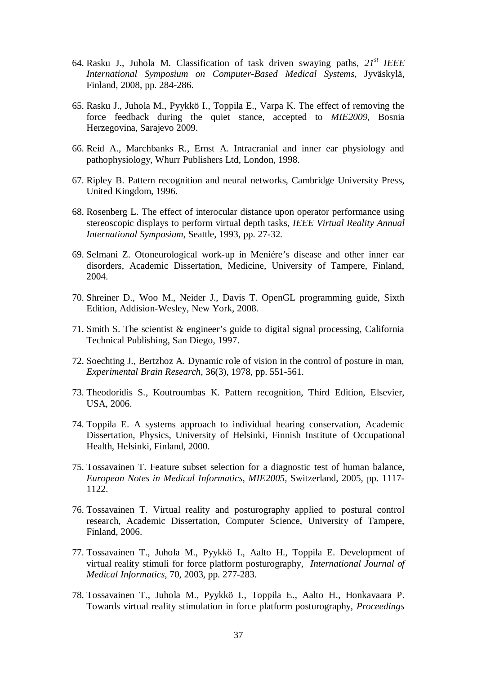- 64. Rasku J., Juhola M. Classification of task driven swaying paths, *21st IEEE International Symposium on Computer-Based Medical Systems*, Jyväskylä, Finland, 2008, pp. 284-286.
- 65. Rasku J., Juhola M., Pyykkö I., Toppila E., Varpa K. The effect of removing the force feedback during the quiet stance, accepted to *MIE2009*, Bosnia Herzegovina, Sarajevo 2009.
- 66. Reid A., Marchbanks R., Ernst A. Intracranial and inner ear physiology and pathophysiology, Whurr Publishers Ltd, London, 1998.
- 67. Ripley B. Pattern recognition and neural networks, Cambridge University Press, United Kingdom, 1996.
- 68. Rosenberg L. The effect of interocular distance upon operator performance using stereoscopic displays to perform virtual depth tasks, *IEEE Virtual Reality Annual International Symposium*, Seattle, 1993, pp. 27-32.
- 69. Selmani Z. Otoneurological work-up in Meniére's disease and other inner ear disorders, Academic Dissertation, Medicine, University of Tampere, Finland, 2004.
- 70. Shreiner D., Woo M., Neider J., Davis T. OpenGL programming guide, Sixth Edition, Addision-Wesley, New York, 2008.
- 71. Smith S. The scientist & engineer's guide to digital signal processing, California Technical Publishing, San Diego, 1997.
- 72. Soechting J., Bertzhoz A. Dynamic role of vision in the control of posture in man, *Experimental Brain Research*, 36(3), 1978, pp. 551-561.
- 73. Theodoridis S., Koutroumbas K. Pattern recognition, Third Edition, Elsevier, USA, 2006.
- 74. Toppila E. A systems approach to individual hearing conservation, Academic Dissertation, Physics, University of Helsinki, Finnish Institute of Occupational Health, Helsinki, Finland, 2000.
- 75. Tossavainen T. Feature subset selection for a diagnostic test of human balance, *European Notes in Medical Informatics*, *MIE2005*, Switzerland, 2005, pp. 1117- 1122.
- 76. Tossavainen T. Virtual reality and posturography applied to postural control research, Academic Dissertation, Computer Science, University of Tampere, Finland, 2006.
- 77. Tossavainen T., Juhola M., Pyykkö I., Aalto H., Toppila E. Development of virtual reality stimuli for force platform posturography, *International Journal of Medical Informatics*, 70, 2003, pp. 277-283.
- 78. Tossavainen T., Juhola M., Pyykkö I., Toppila E., Aalto H., Honkavaara P. Towards virtual reality stimulation in force platform posturography, *Proceedings*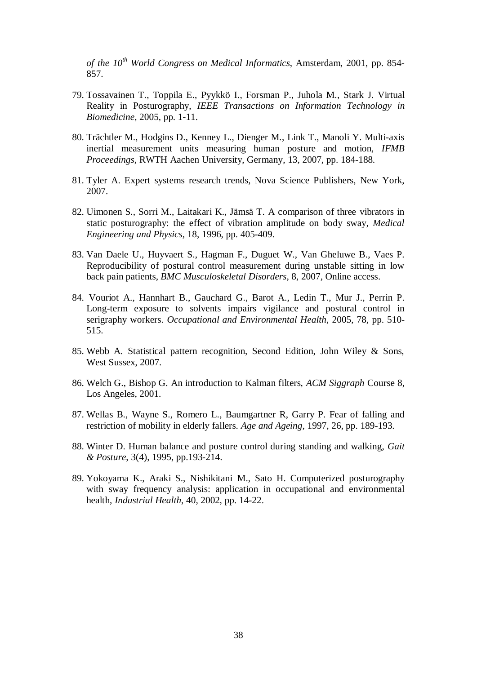*of the 10th World Congress on Medical Informatics*, Amsterdam, 2001, pp. 854- 857.

- 79. Tossavainen T., Toppila E., Pyykkö I., Forsman P., Juhola M., Stark J. Virtual Reality in Posturography, *IEEE Transactions on Information Technology in Biomedicine*, 2005, pp. 1-11.
- 80. Trächtler M., Hodgins D., Kenney L., Dienger M., Link T., Manoli Y. Multi-axis inertial measurement units measuring human posture and motion, *IFMB Proceedings*, RWTH Aachen University, Germany, 13, 2007, pp. 184-188.
- 81. Tyler A. Expert systems research trends, Nova Science Publishers, New York, 2007.
- 82. Uimonen S., Sorri M., Laitakari K., Jämsä T. A comparison of three vibrators in static posturography: the effect of vibration amplitude on body sway*, Medical Engineering and Physics*, 18, 1996, pp. 405-409.
- 83. Van Daele U., Huyvaert S., Hagman F., Duguet W., Van Gheluwe B., Vaes P. Reproducibility of postural control measurement during unstable sitting in low back pain patients, *BMC Musculoskeletal Disorders*, 8, 2007, Online access.
- 84. Vouriot A., Hannhart B., Gauchard G., Barot A., Ledin T., Mur J., Perrin P. Long-term exposure to solvents impairs vigilance and postural control in serigraphy workers. *Occupational and Environmental Health*, 2005, 78, pp. 510- 515.
- 85. Webb A. Statistical pattern recognition, Second Edition, John Wiley & Sons, West Sussex, 2007.
- 86. Welch G., Bishop G. An introduction to Kalman filters, *ACM Siggraph* Course 8, Los Angeles, 2001.
- 87. Wellas B., Wayne S., Romero L., Baumgartner R, Garry P. Fear of falling and restriction of mobility in elderly fallers*. Age and Ageing,* 1997, 26, pp. 189-193.
- 88. Winter D. Human balance and posture control during standing and walking, *Gait & Posture*, 3(4), 1995, pp.193-214.
- 89. Yokoyama K., Araki S., Nishikitani M., Sato H. Computerized posturography with sway frequency analysis: application in occupational and environmental health, *Industrial Health*, 40, 2002, pp. 14-22.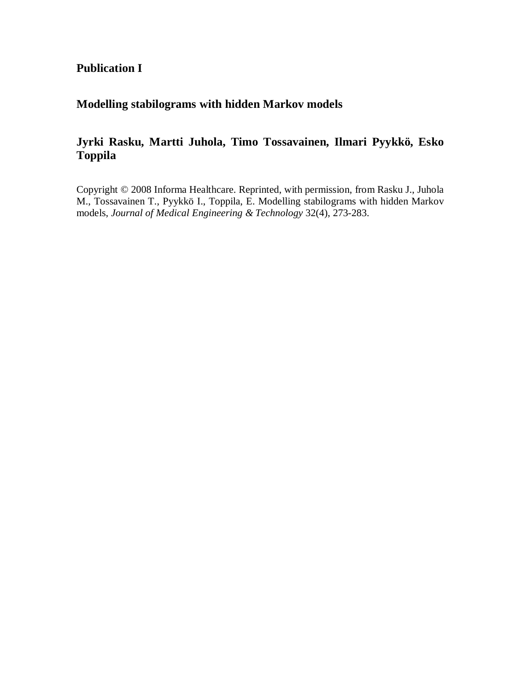### **Publication I**

### **Modelling stabilograms with hidden Markov models**

### **Jyrki Rasku, Martti Juhola, Timo Tossavainen, Ilmari Pyykkö, Esko Toppila**

Copyright © 2008 Informa Healthcare. Reprinted, with permission, from Rasku J., Juhola M., Tossavainen T., Pyykkö I., Toppila, E. Modelling stabilograms with hidden Markov models, *Journal of Medical Engineering & Technology* 32(4), 273-283.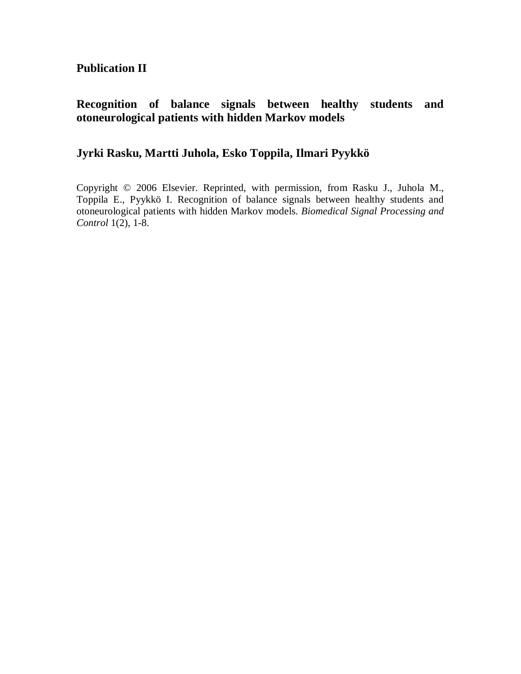**Publication II**

### **Recognition of balance signals between healthy students and otoneurological patients with hidden Markov models**

### **Jyrki Rasku, Martti Juhola, Esko Toppila, Ilmari Pyykkö**

Copyright © 2006 Elsevier. Reprinted, with permission, from Rasku J., Juhola M., Toppila E., Pyykkö I. Recognition of balance signals between healthy students and otoneurological patients with hidden Markov models. *Biomedical Signal Processing and Control* 1(2), 1-8.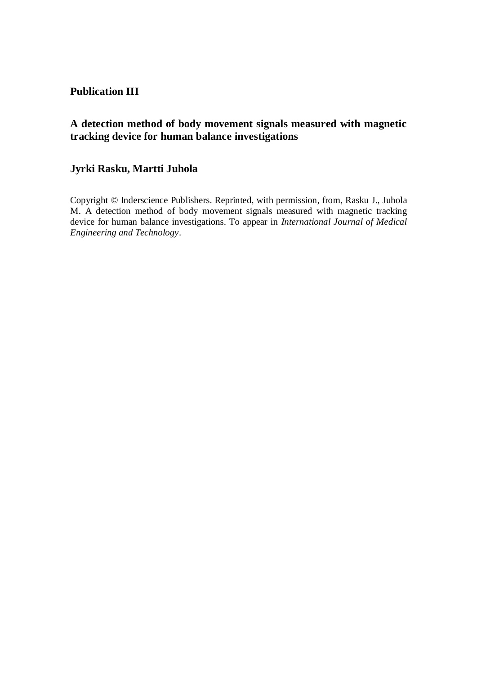#### **Publication III**

#### **A detection method of body movement signals measured with magnetic tracking device for human balance investigations**

### **Jyrki Rasku, Martti Juhola**

Copyright © Inderscience Publishers. Reprinted, with permission, from, Rasku J., Juhola M. A detection method of body movement signals measured with magnetic tracking device for human balance investigations. To appear in *International Journal of Medical Engineering and Technology*.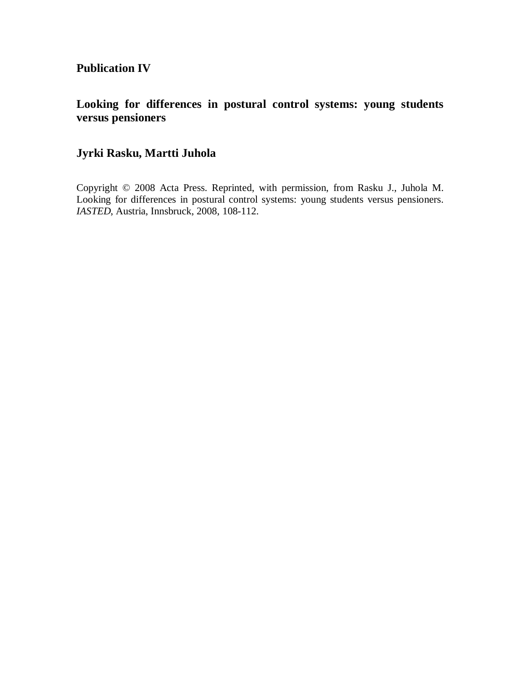### **Publication IV**

### **Looking for differences in postural control systems: young students versus pensioners**

### **Jyrki Rasku, Martti Juhola**

Copyright © 2008 Acta Press. Reprinted, with permission, from Rasku J., Juhola M. Looking for differences in postural control systems: young students versus pensioners. *IASTED*, Austria, Innsbruck, 2008, 108-112.